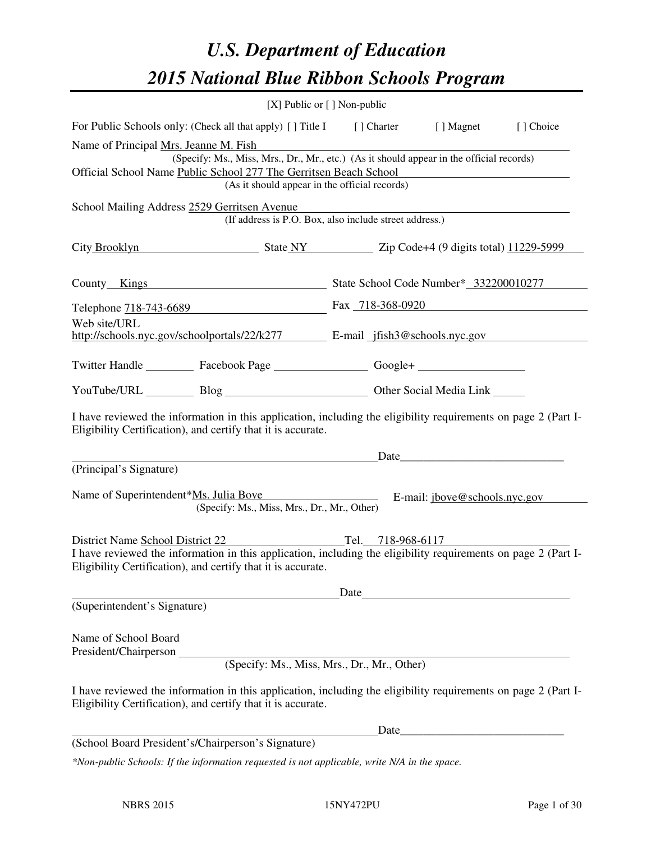# *U.S. Department of Education 2015 National Blue Ribbon Schools Program*

|                                                                                                                                                                                | $[X]$ Public or $[ ]$ Non-public                                                                                                          |       |                                                                                                                                                                                                                               |           |
|--------------------------------------------------------------------------------------------------------------------------------------------------------------------------------|-------------------------------------------------------------------------------------------------------------------------------------------|-------|-------------------------------------------------------------------------------------------------------------------------------------------------------------------------------------------------------------------------------|-----------|
| For Public Schools only: (Check all that apply) [] Title I [] Charter [] Magnet                                                                                                |                                                                                                                                           |       |                                                                                                                                                                                                                               | [] Choice |
| Name of Principal Mrs. Jeanne M. Fish<br>Official School Name Public School 277 The Gerritsen Beach School                                                                     | (Specify: Ms., Miss, Mrs., Dr., Mr., etc.) (As it should appear in the official records)<br>(As it should appear in the official records) |       |                                                                                                                                                                                                                               |           |
| School Mailing Address 2529 Gerritsen Avenue                                                                                                                                   | (If address is P.O. Box, also include street address.)                                                                                    |       |                                                                                                                                                                                                                               |           |
| City Brooklyn State NY Zip Code+4 (9 digits total) 11229-5999                                                                                                                  |                                                                                                                                           |       |                                                                                                                                                                                                                               |           |
| County Kings<br>State School Code Number* 332200010277                                                                                                                         |                                                                                                                                           |       |                                                                                                                                                                                                                               |           |
| Telephone 718-743-6689 Fax 718-368-0920                                                                                                                                        |                                                                                                                                           |       |                                                                                                                                                                                                                               |           |
| Web site/URL<br>http://schools.nyc.gov/schoolportals/22/k277 E-mail jfish3@schools.nyc.gov                                                                                     |                                                                                                                                           |       |                                                                                                                                                                                                                               |           |
| Twitter Handle ___________ Facebook Page ____________________ Google+ ___________                                                                                              |                                                                                                                                           |       |                                                                                                                                                                                                                               |           |
| YouTube/URL Blog Blog Cher Social Media Link                                                                                                                                   |                                                                                                                                           |       |                                                                                                                                                                                                                               |           |
| I have reviewed the information in this application, including the eligibility requirements on page 2 (Part I-<br>Eligibility Certification), and certify that it is accurate. |                                                                                                                                           |       | Date and the same state of the state of the state of the state of the state of the state of the state of the state of the state of the state of the state of the state of the state of the state of the state of the state of |           |
| (Principal's Signature)                                                                                                                                                        |                                                                                                                                           |       |                                                                                                                                                                                                                               |           |
| Name of Superintendent*Ms. Julia Bove                                                                                                                                          | (Specify: Ms., Miss, Mrs., Dr., Mr., Other)                                                                                               |       | E-mail: jbove@schools.nyc.gov                                                                                                                                                                                                 |           |
| District Name School District 22                                                                                                                                               |                                                                                                                                           |       | Tel. 718-968-6117                                                                                                                                                                                                             |           |
| I have reviewed the information in this application, including the eligibility requirements on page 2 (Part I-<br>Eligibility Certification), and certify that it is accurate. |                                                                                                                                           |       |                                                                                                                                                                                                                               |           |
| (Superintendent's Signature)                                                                                                                                                   |                                                                                                                                           | Date  |                                                                                                                                                                                                                               |           |
| Name of School Board<br>President/Chairperson                                                                                                                                  | (Specify: Ms., Miss, Mrs., Dr., Mr., Other)                                                                                               |       |                                                                                                                                                                                                                               |           |
| I have reviewed the information in this application, including the eligibility requirements on page 2 (Part I-<br>Eligibility Certification), and certify that it is accurate. |                                                                                                                                           |       |                                                                                                                                                                                                                               |           |
|                                                                                                                                                                                |                                                                                                                                           | Date_ |                                                                                                                                                                                                                               |           |
| (School Board President's/Chairperson's Signature)                                                                                                                             |                                                                                                                                           |       |                                                                                                                                                                                                                               |           |
| *Non-public Schools: If the information requested is not applicable, write N/A in the space.                                                                                   |                                                                                                                                           |       |                                                                                                                                                                                                                               |           |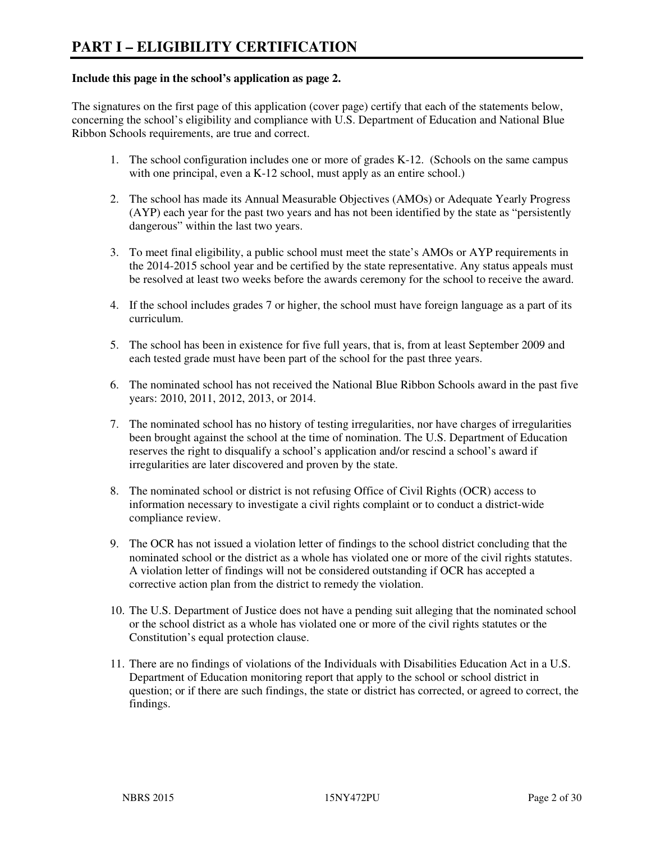#### **Include this page in the school's application as page 2.**

The signatures on the first page of this application (cover page) certify that each of the statements below, concerning the school's eligibility and compliance with U.S. Department of Education and National Blue Ribbon Schools requirements, are true and correct.

- 1. The school configuration includes one or more of grades K-12. (Schools on the same campus with one principal, even a K-12 school, must apply as an entire school.)
- 2. The school has made its Annual Measurable Objectives (AMOs) or Adequate Yearly Progress (AYP) each year for the past two years and has not been identified by the state as "persistently dangerous" within the last two years.
- 3. To meet final eligibility, a public school must meet the state's AMOs or AYP requirements in the 2014-2015 school year and be certified by the state representative. Any status appeals must be resolved at least two weeks before the awards ceremony for the school to receive the award.
- 4. If the school includes grades 7 or higher, the school must have foreign language as a part of its curriculum.
- 5. The school has been in existence for five full years, that is, from at least September 2009 and each tested grade must have been part of the school for the past three years.
- 6. The nominated school has not received the National Blue Ribbon Schools award in the past five years: 2010, 2011, 2012, 2013, or 2014.
- 7. The nominated school has no history of testing irregularities, nor have charges of irregularities been brought against the school at the time of nomination. The U.S. Department of Education reserves the right to disqualify a school's application and/or rescind a school's award if irregularities are later discovered and proven by the state.
- 8. The nominated school or district is not refusing Office of Civil Rights (OCR) access to information necessary to investigate a civil rights complaint or to conduct a district-wide compliance review.
- 9. The OCR has not issued a violation letter of findings to the school district concluding that the nominated school or the district as a whole has violated one or more of the civil rights statutes. A violation letter of findings will not be considered outstanding if OCR has accepted a corrective action plan from the district to remedy the violation.
- 10. The U.S. Department of Justice does not have a pending suit alleging that the nominated school or the school district as a whole has violated one or more of the civil rights statutes or the Constitution's equal protection clause.
- 11. There are no findings of violations of the Individuals with Disabilities Education Act in a U.S. Department of Education monitoring report that apply to the school or school district in question; or if there are such findings, the state or district has corrected, or agreed to correct, the findings.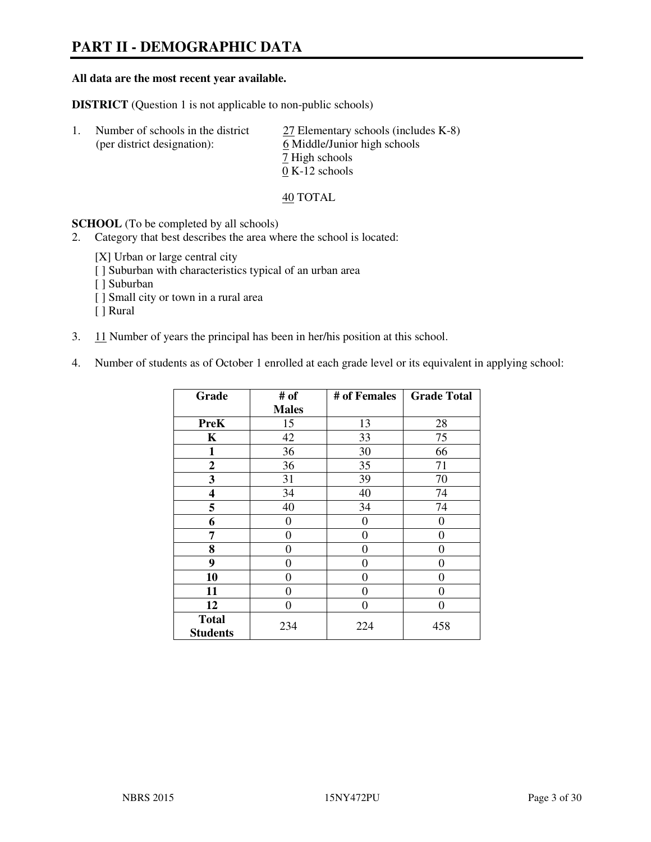# **PART II - DEMOGRAPHIC DATA**

#### **All data are the most recent year available.**

**DISTRICT** (Question 1 is not applicable to non-public schools)

| Number of schools in the district<br>(per district designation): | 27 Elementary schools (includes K-8)<br>6 Middle/Junior high schools |
|------------------------------------------------------------------|----------------------------------------------------------------------|
|                                                                  | 7 High schools                                                       |
|                                                                  | $0 K-12$ schools                                                     |

40 TOTAL

**SCHOOL** (To be completed by all schools)

- 2. Category that best describes the area where the school is located:
	- [X] Urban or large central city
	- [ ] Suburban with characteristics typical of an urban area
	- [ ] Suburban
	- [ ] Small city or town in a rural area
	- [ ] Rural
- 3. 11 Number of years the principal has been in her/his position at this school.
- 4. Number of students as of October 1 enrolled at each grade level or its equivalent in applying school:

| Grade                           | # of         | # of Females   | <b>Grade Total</b> |
|---------------------------------|--------------|----------------|--------------------|
|                                 | <b>Males</b> |                |                    |
| <b>PreK</b>                     | 15           | 13             | 28                 |
| K                               | 42           | 33             | 75                 |
| $\mathbf{1}$                    | 36           | 30             | 66                 |
| $\mathbf{2}$                    | 36           | 35             | 71                 |
| 3                               | 31           | 39             | 70                 |
| 4                               | 34           | 40             | 74                 |
| 5                               | 40           | 34             | 74                 |
| 6                               | 0            | 0              | $\theta$           |
| 7                               | 0            | $\overline{0}$ | 0                  |
| 8                               | $\theta$     | 0              | 0                  |
| 9                               | $\theta$     | $\theta$       | 0                  |
| 10                              | 0            | 0              | 0                  |
| 11                              | 0            | 0              | 0                  |
| 12                              | 0            | 0              | 0                  |
| <b>Total</b><br><b>Students</b> | 234          | 224            | 458                |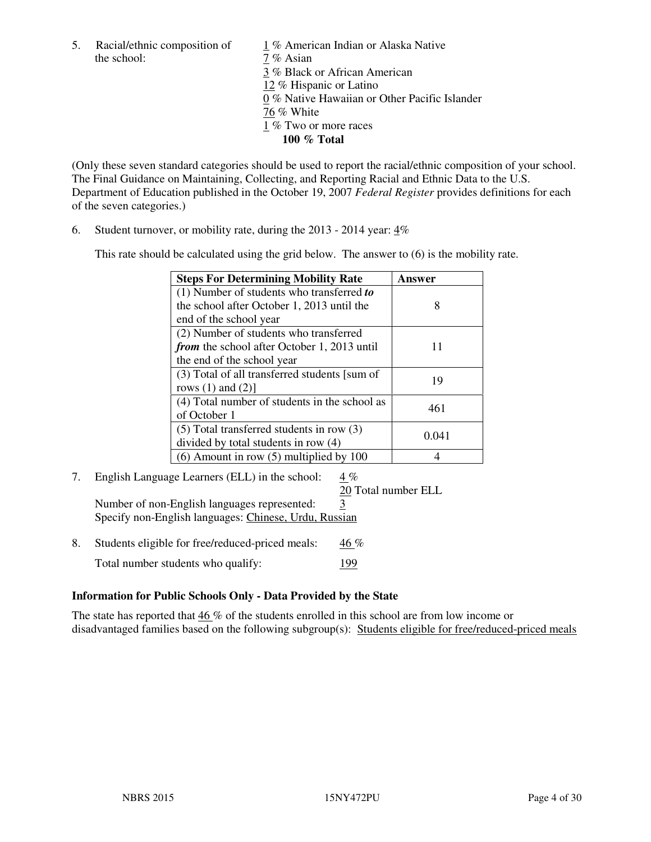the school:  $7\%$  Asian

5. Racial/ethnic composition of  $1\%$  American Indian or Alaska Native 3 % Black or African American 12 % Hispanic or Latino 0 % Native Hawaiian or Other Pacific Islander 76 % White 1 % Two or more races **100 % Total** 

(Only these seven standard categories should be used to report the racial/ethnic composition of your school. The Final Guidance on Maintaining, Collecting, and Reporting Racial and Ethnic Data to the U.S. Department of Education published in the October 19, 2007 *Federal Register* provides definitions for each of the seven categories.)

6. Student turnover, or mobility rate, during the 2013 - 2014 year: 4%

This rate should be calculated using the grid below. The answer to (6) is the mobility rate.

| <b>Steps For Determining Mobility Rate</b>         | Answer |  |
|----------------------------------------------------|--------|--|
| $(1)$ Number of students who transferred to        |        |  |
| the school after October 1, 2013 until the         | 8      |  |
| end of the school year                             |        |  |
| (2) Number of students who transferred             |        |  |
| <i>from</i> the school after October 1, 2013 until | 11     |  |
| the end of the school year                         |        |  |
| (3) Total of all transferred students [sum of      | 19     |  |
| rows $(1)$ and $(2)$ ]                             |        |  |
| (4) Total number of students in the school as      | 461    |  |
| of October 1                                       |        |  |
| $(5)$ Total transferred students in row $(3)$      | 0.041  |  |
| divided by total students in row (4)               |        |  |
| $(6)$ Amount in row $(5)$ multiplied by 100        |        |  |

# 7. English Language Learners (ELL) in the school: 4 %

20 Total number ELL

Number of non-English languages represented: 3 Specify non-English languages: Chinese, Urdu, Russian

8. Students eligible for free/reduced-priced meals:  $46\%$ Total number students who qualify: 199

## **Information for Public Schools Only - Data Provided by the State**

The state has reported that  $46\%$  of the students enrolled in this school are from low income or disadvantaged families based on the following subgroup(s): Students eligible for free/reduced-priced meals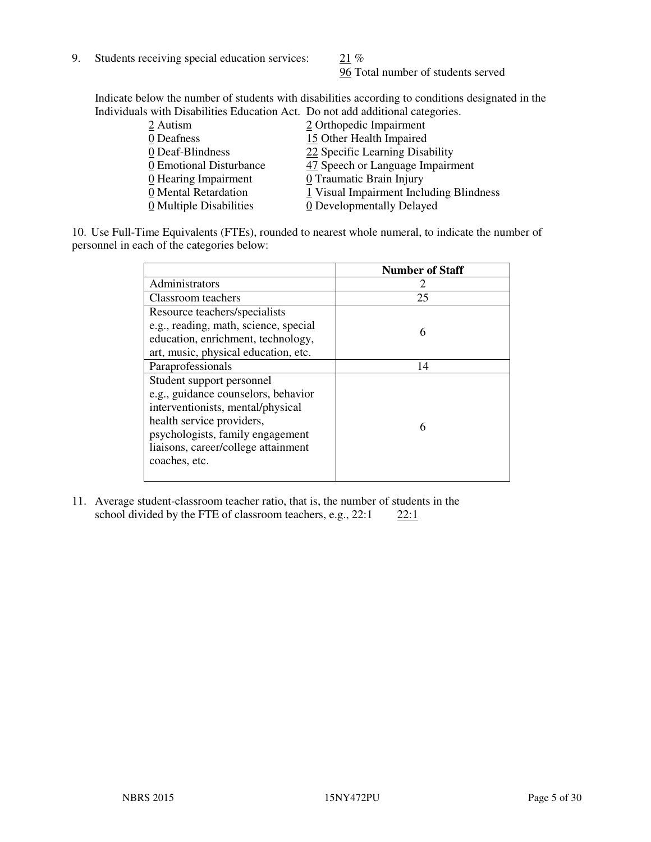9. Students receiving special education services:  $21\%$ 

96 Total number of students served

Indicate below the number of students with disabilities according to conditions designated in the Individuals with Disabilities Education Act. Do not add additional categories.

| 2 Orthopedic Impairment                                     |
|-------------------------------------------------------------|
| 15 Other Health Impaired                                    |
| 22 Specific Learning Disability                             |
| 47 Speech or Language Impairment<br>0 Emotional Disturbance |
| 0 Traumatic Brain Injury                                    |
| 1 Visual Impairment Including Blindness                     |
| 0 Developmentally Delayed                                   |
|                                                             |

10. Use Full-Time Equivalents (FTEs), rounded to nearest whole numeral, to indicate the number of personnel in each of the categories below:

|                                       | <b>Number of Staff</b> |
|---------------------------------------|------------------------|
| Administrators                        |                        |
| Classroom teachers                    | 25                     |
| Resource teachers/specialists         |                        |
| e.g., reading, math, science, special | 6                      |
| education, enrichment, technology,    |                        |
| art, music, physical education, etc.  |                        |
| Paraprofessionals                     | 14                     |
| Student support personnel             |                        |
| e.g., guidance counselors, behavior   |                        |
| interventionists, mental/physical     |                        |
| health service providers,             | 6                      |
| psychologists, family engagement      |                        |
| liaisons, career/college attainment   |                        |
| coaches, etc.                         |                        |
|                                       |                        |

11. Average student-classroom teacher ratio, that is, the number of students in the school divided by the FTE of classroom teachers, e.g.,  $22:1$   $22:1$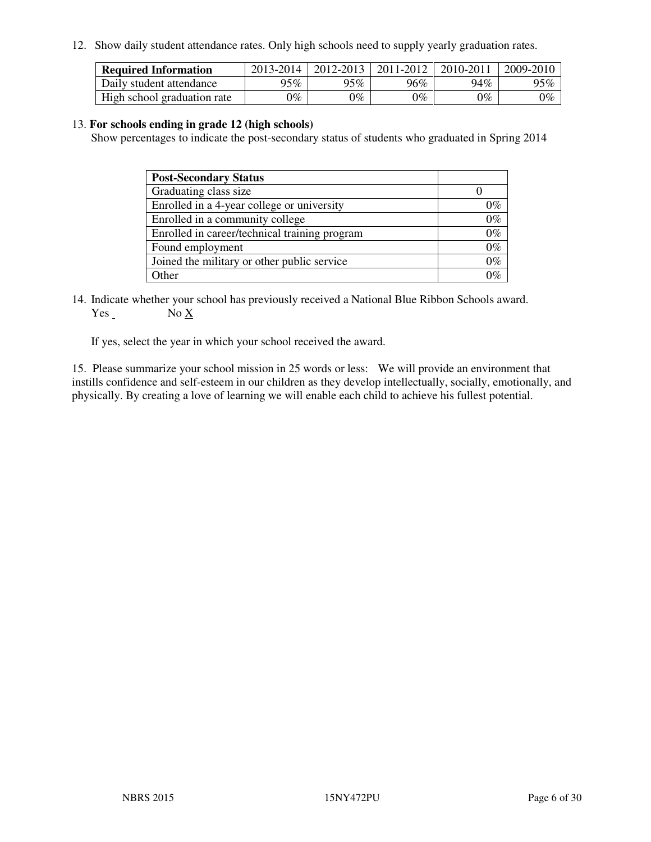12. Show daily student attendance rates. Only high schools need to supply yearly graduation rates.

| <b>Required Information</b> | 2013-2014     | 2012-2013       | 2011-2012 | 2010-2011 | 2009-2010 |
|-----------------------------|---------------|-----------------|-----------|-----------|-----------|
| Daily student attendance    | 95%           | 95%             | 96%       | 94%       | 95%       |
| High school graduation rate | $\gamma_{\%}$ | $\mathcal{V}_o$ | $0\%$     | 0%        | 0%        |

#### 13. **For schools ending in grade 12 (high schools)**

Show percentages to indicate the post-secondary status of students who graduated in Spring 2014

| <b>Post-Secondary Status</b>                  |       |
|-----------------------------------------------|-------|
| Graduating class size                         |       |
| Enrolled in a 4-year college or university    | በ‰    |
| Enrolled in a community college               | $0\%$ |
| Enrolled in career/technical training program | $0\%$ |
| Found employment                              | $0\%$ |
| Joined the military or other public service   | 0%    |
| Other                                         |       |

14. Indicate whether your school has previously received a National Blue Ribbon Schools award. Yes No X

If yes, select the year in which your school received the award.

15. Please summarize your school mission in 25 words or less: We will provide an environment that instills confidence and self-esteem in our children as they develop intellectually, socially, emotionally, and physically. By creating a love of learning we will enable each child to achieve his fullest potential.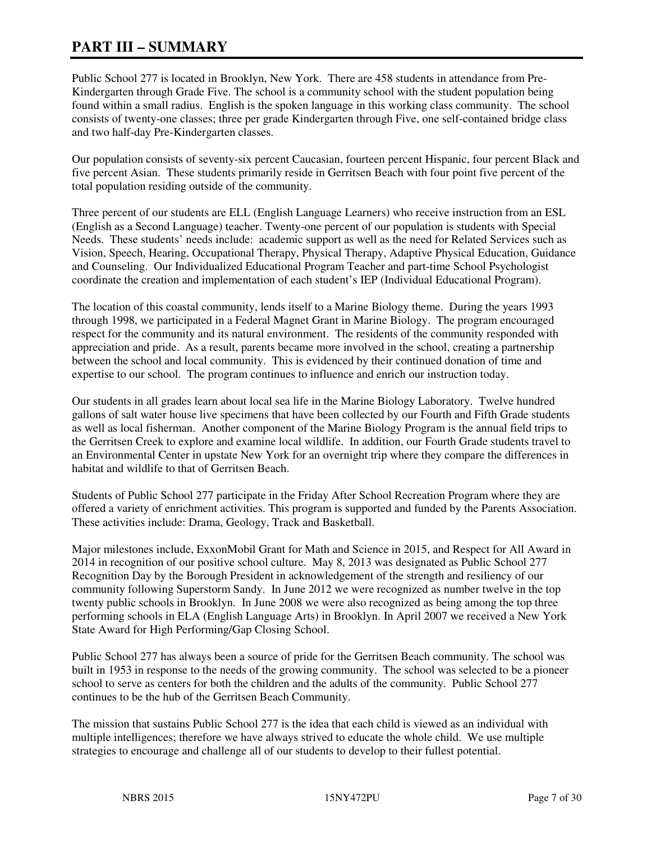# **PART III – SUMMARY**

Public School 277 is located in Brooklyn, New York. There are 458 students in attendance from Pre-Kindergarten through Grade Five. The school is a community school with the student population being found within a small radius. English is the spoken language in this working class community. The school consists of twenty-one classes; three per grade Kindergarten through Five, one self-contained bridge class and two half-day Pre-Kindergarten classes.

Our population consists of seventy-six percent Caucasian, fourteen percent Hispanic, four percent Black and five percent Asian. These students primarily reside in Gerritsen Beach with four point five percent of the total population residing outside of the community.

Three percent of our students are ELL (English Language Learners) who receive instruction from an ESL (English as a Second Language) teacher. Twenty-one percent of our population is students with Special Needs. These students' needs include: academic support as well as the need for Related Services such as Vision, Speech, Hearing, Occupational Therapy, Physical Therapy, Adaptive Physical Education, Guidance and Counseling. Our Individualized Educational Program Teacher and part-time School Psychologist coordinate the creation and implementation of each student's IEP (Individual Educational Program).

The location of this coastal community, lends itself to a Marine Biology theme. During the years 1993 through 1998, we participated in a Federal Magnet Grant in Marine Biology. The program encouraged respect for the community and its natural environment. The residents of the community responded with appreciation and pride. As a result, parents became more involved in the school, creating a partnership between the school and local community. This is evidenced by their continued donation of time and expertise to our school. The program continues to influence and enrich our instruction today.

Our students in all grades learn about local sea life in the Marine Biology Laboratory. Twelve hundred gallons of salt water house live specimens that have been collected by our Fourth and Fifth Grade students as well as local fisherman. Another component of the Marine Biology Program is the annual field trips to the Gerritsen Creek to explore and examine local wildlife. In addition, our Fourth Grade students travel to an Environmental Center in upstate New York for an overnight trip where they compare the differences in habitat and wildlife to that of Gerritsen Beach.

Students of Public School 277 participate in the Friday After School Recreation Program where they are offered a variety of enrichment activities. This program is supported and funded by the Parents Association. These activities include: Drama, Geology, Track and Basketball.

Major milestones include, ExxonMobil Grant for Math and Science in 2015, and Respect for All Award in 2014 in recognition of our positive school culture. May 8, 2013 was designated as Public School 277 Recognition Day by the Borough President in acknowledgement of the strength and resiliency of our community following Superstorm Sandy. In June 2012 we were recognized as number twelve in the top twenty public schools in Brooklyn. In June 2008 we were also recognized as being among the top three performing schools in ELA (English Language Arts) in Brooklyn. In April 2007 we received a New York State Award for High Performing/Gap Closing School.

Public School 277 has always been a source of pride for the Gerritsen Beach community. The school was built in 1953 in response to the needs of the growing community. The school was selected to be a pioneer school to serve as centers for both the children and the adults of the community. Public School 277 continues to be the hub of the Gerritsen Beach Community.

The mission that sustains Public School 277 is the idea that each child is viewed as an individual with multiple intelligences; therefore we have always strived to educate the whole child. We use multiple strategies to encourage and challenge all of our students to develop to their fullest potential.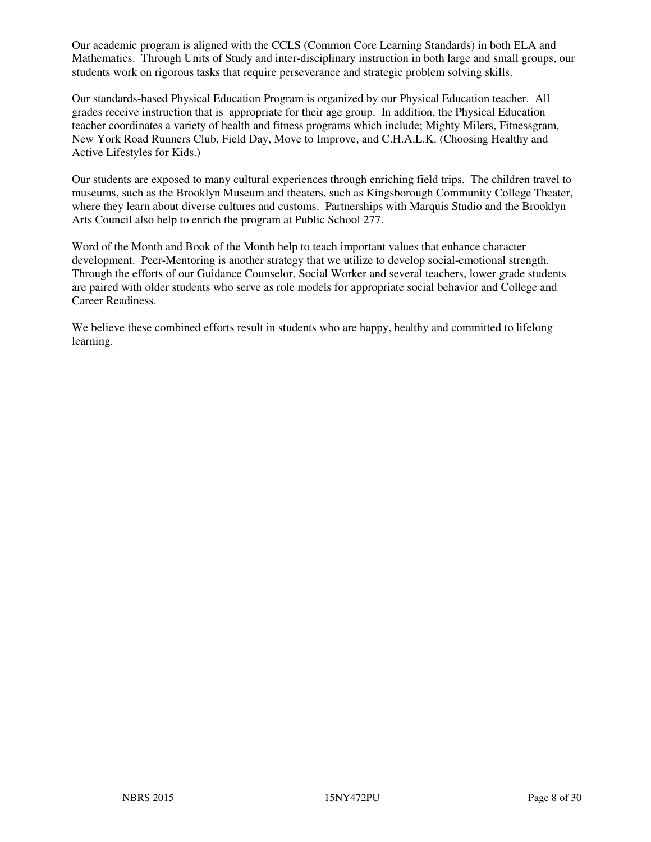Our academic program is aligned with the CCLS (Common Core Learning Standards) in both ELA and Mathematics. Through Units of Study and inter-disciplinary instruction in both large and small groups, our students work on rigorous tasks that require perseverance and strategic problem solving skills.

Our standards-based Physical Education Program is organized by our Physical Education teacher. All grades receive instruction that is appropriate for their age group. In addition, the Physical Education teacher coordinates a variety of health and fitness programs which include; Mighty Milers, Fitnessgram, New York Road Runners Club, Field Day, Move to Improve, and C.H.A.L.K. (Choosing Healthy and Active Lifestyles for Kids.)

Our students are exposed to many cultural experiences through enriching field trips. The children travel to museums, such as the Brooklyn Museum and theaters, such as Kingsborough Community College Theater, where they learn about diverse cultures and customs. Partnerships with Marquis Studio and the Brooklyn Arts Council also help to enrich the program at Public School 277.

Word of the Month and Book of the Month help to teach important values that enhance character development. Peer-Mentoring is another strategy that we utilize to develop social-emotional strength. Through the efforts of our Guidance Counselor, Social Worker and several teachers, lower grade students are paired with older students who serve as role models for appropriate social behavior and College and Career Readiness.

We believe these combined efforts result in students who are happy, healthy and committed to lifelong learning.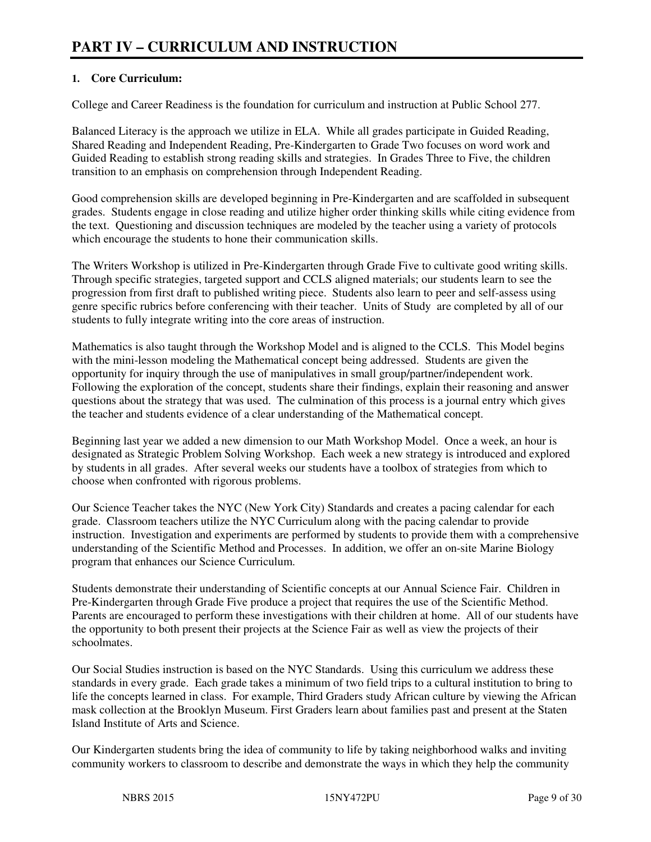# **1. Core Curriculum:**

College and Career Readiness is the foundation for curriculum and instruction at Public School 277.

Balanced Literacy is the approach we utilize in ELA. While all grades participate in Guided Reading, Shared Reading and Independent Reading, Pre-Kindergarten to Grade Two focuses on word work and Guided Reading to establish strong reading skills and strategies. In Grades Three to Five, the children transition to an emphasis on comprehension through Independent Reading.

Good comprehension skills are developed beginning in Pre-Kindergarten and are scaffolded in subsequent grades. Students engage in close reading and utilize higher order thinking skills while citing evidence from the text. Questioning and discussion techniques are modeled by the teacher using a variety of protocols which encourage the students to hone their communication skills.

The Writers Workshop is utilized in Pre-Kindergarten through Grade Five to cultivate good writing skills. Through specific strategies, targeted support and CCLS aligned materials; our students learn to see the progression from first draft to published writing piece. Students also learn to peer and self-assess using genre specific rubrics before conferencing with their teacher. Units of Study are completed by all of our students to fully integrate writing into the core areas of instruction.

Mathematics is also taught through the Workshop Model and is aligned to the CCLS. This Model begins with the mini-lesson modeling the Mathematical concept being addressed. Students are given the opportunity for inquiry through the use of manipulatives in small group/partner/independent work. Following the exploration of the concept, students share their findings, explain their reasoning and answer questions about the strategy that was used. The culmination of this process is a journal entry which gives the teacher and students evidence of a clear understanding of the Mathematical concept.

Beginning last year we added a new dimension to our Math Workshop Model. Once a week, an hour is designated as Strategic Problem Solving Workshop. Each week a new strategy is introduced and explored by students in all grades. After several weeks our students have a toolbox of strategies from which to choose when confronted with rigorous problems.

Our Science Teacher takes the NYC (New York City) Standards and creates a pacing calendar for each grade. Classroom teachers utilize the NYC Curriculum along with the pacing calendar to provide instruction. Investigation and experiments are performed by students to provide them with a comprehensive understanding of the Scientific Method and Processes. In addition, we offer an on-site Marine Biology program that enhances our Science Curriculum.

Students demonstrate their understanding of Scientific concepts at our Annual Science Fair. Children in Pre-Kindergarten through Grade Five produce a project that requires the use of the Scientific Method. Parents are encouraged to perform these investigations with their children at home. All of our students have the opportunity to both present their projects at the Science Fair as well as view the projects of their schoolmates.

Our Social Studies instruction is based on the NYC Standards. Using this curriculum we address these standards in every grade. Each grade takes a minimum of two field trips to a cultural institution to bring to life the concepts learned in class. For example, Third Graders study African culture by viewing the African mask collection at the Brooklyn Museum. First Graders learn about families past and present at the Staten Island Institute of Arts and Science.

Our Kindergarten students bring the idea of community to life by taking neighborhood walks and inviting community workers to classroom to describe and demonstrate the ways in which they help the community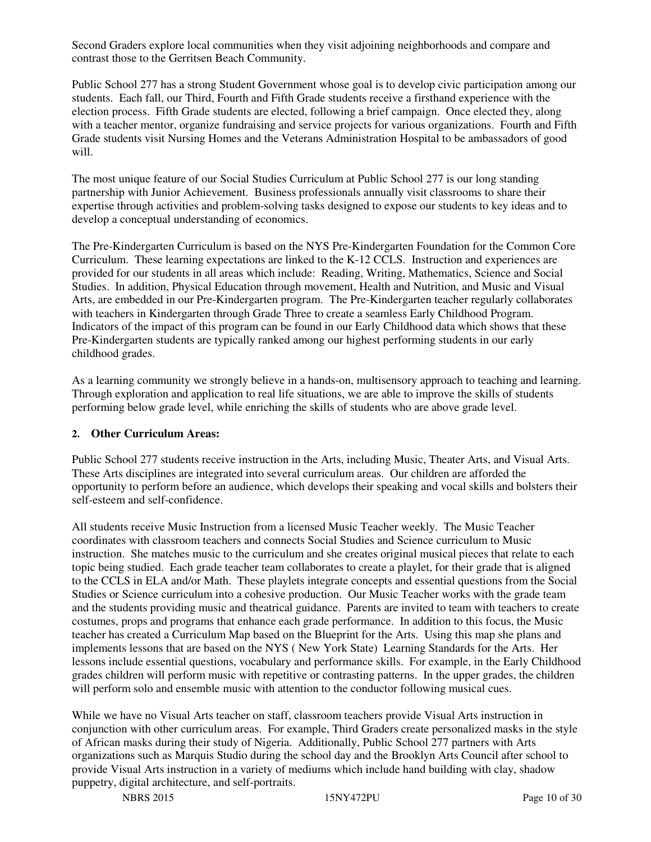Second Graders explore local communities when they visit adjoining neighborhoods and compare and contrast those to the Gerritsen Beach Community.

Public School 277 has a strong Student Government whose goal is to develop civic participation among our students. Each fall, our Third, Fourth and Fifth Grade students receive a firsthand experience with the election process. Fifth Grade students are elected, following a brief campaign. Once elected they, along with a teacher mentor, organize fundraising and service projects for various organizations. Fourth and Fifth Grade students visit Nursing Homes and the Veterans Administration Hospital to be ambassadors of good will.

The most unique feature of our Social Studies Curriculum at Public School 277 is our long standing partnership with Junior Achievement. Business professionals annually visit classrooms to share their expertise through activities and problem-solving tasks designed to expose our students to key ideas and to develop a conceptual understanding of economics.

The Pre-Kindergarten Curriculum is based on the NYS Pre-Kindergarten Foundation for the Common Core Curriculum. These learning expectations are linked to the K-12 CCLS. Instruction and experiences are provided for our students in all areas which include: Reading, Writing, Mathematics, Science and Social Studies. In addition, Physical Education through movement, Health and Nutrition, and Music and Visual Arts, are embedded in our Pre-Kindergarten program. The Pre-Kindergarten teacher regularly collaborates with teachers in Kindergarten through Grade Three to create a seamless Early Childhood Program. Indicators of the impact of this program can be found in our Early Childhood data which shows that these Pre-Kindergarten students are typically ranked among our highest performing students in our early childhood grades.

As a learning community we strongly believe in a hands-on, multisensory approach to teaching and learning. Through exploration and application to real life situations, we are able to improve the skills of students performing below grade level, while enriching the skills of students who are above grade level.

#### **2. Other Curriculum Areas:**

Public School 277 students receive instruction in the Arts, including Music, Theater Arts, and Visual Arts. These Arts disciplines are integrated into several curriculum areas. Our children are afforded the opportunity to perform before an audience, which develops their speaking and vocal skills and bolsters their self-esteem and self-confidence.

All students receive Music Instruction from a licensed Music Teacher weekly. The Music Teacher coordinates with classroom teachers and connects Social Studies and Science curriculum to Music instruction. She matches music to the curriculum and she creates original musical pieces that relate to each topic being studied. Each grade teacher team collaborates to create a playlet, for their grade that is aligned to the CCLS in ELA and/or Math. These playlets integrate concepts and essential questions from the Social Studies or Science curriculum into a cohesive production. Our Music Teacher works with the grade team and the students providing music and theatrical guidance. Parents are invited to team with teachers to create costumes, props and programs that enhance each grade performance. In addition to this focus, the Music teacher has created a Curriculum Map based on the Blueprint for the Arts. Using this map she plans and implements lessons that are based on the NYS ( New York State) Learning Standards for the Arts. Her lessons include essential questions, vocabulary and performance skills. For example, in the Early Childhood grades children will perform music with repetitive or contrasting patterns. In the upper grades, the children will perform solo and ensemble music with attention to the conductor following musical cues.

While we have no Visual Arts teacher on staff, classroom teachers provide Visual Arts instruction in conjunction with other curriculum areas. For example, Third Graders create personalized masks in the style of African masks during their study of Nigeria. Additionally, Public School 277 partners with Arts organizations such as Marquis Studio during the school day and the Brooklyn Arts Council after school to provide Visual Arts instruction in a variety of mediums which include hand building with clay, shadow puppetry, digital architecture, and self-portraits.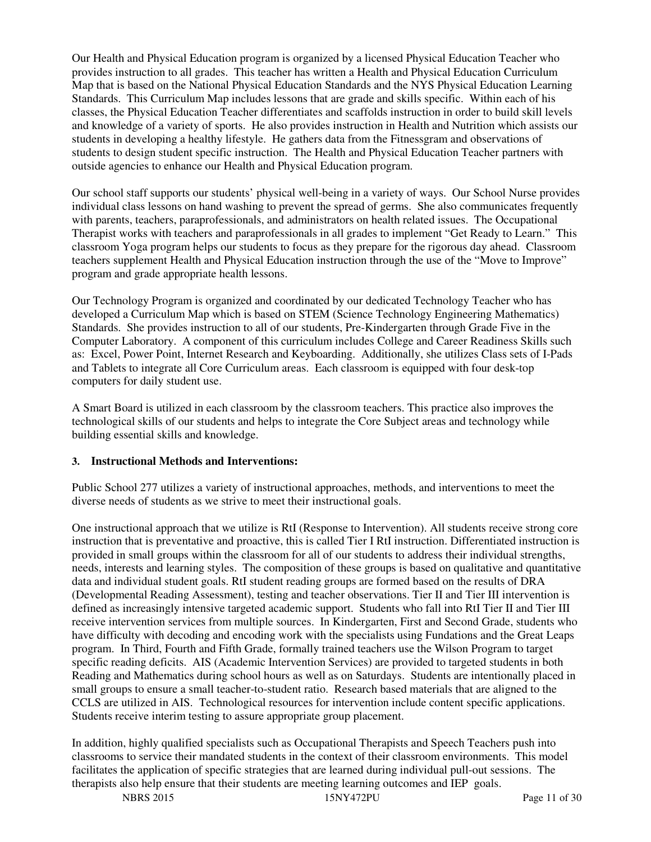Our Health and Physical Education program is organized by a licensed Physical Education Teacher who provides instruction to all grades. This teacher has written a Health and Physical Education Curriculum Map that is based on the National Physical Education Standards and the NYS Physical Education Learning Standards. This Curriculum Map includes lessons that are grade and skills specific. Within each of his classes, the Physical Education Teacher differentiates and scaffolds instruction in order to build skill levels and knowledge of a variety of sports. He also provides instruction in Health and Nutrition which assists our students in developing a healthy lifestyle. He gathers data from the Fitnessgram and observations of students to design student specific instruction. The Health and Physical Education Teacher partners with outside agencies to enhance our Health and Physical Education program.

Our school staff supports our students' physical well-being in a variety of ways. Our School Nurse provides individual class lessons on hand washing to prevent the spread of germs. She also communicates frequently with parents, teachers, paraprofessionals, and administrators on health related issues. The Occupational Therapist works with teachers and paraprofessionals in all grades to implement "Get Ready to Learn." This classroom Yoga program helps our students to focus as they prepare for the rigorous day ahead. Classroom teachers supplement Health and Physical Education instruction through the use of the "Move to Improve" program and grade appropriate health lessons.

Our Technology Program is organized and coordinated by our dedicated Technology Teacher who has developed a Curriculum Map which is based on STEM (Science Technology Engineering Mathematics) Standards. She provides instruction to all of our students, Pre-Kindergarten through Grade Five in the Computer Laboratory. A component of this curriculum includes College and Career Readiness Skills such as: Excel, Power Point, Internet Research and Keyboarding. Additionally, she utilizes Class sets of I-Pads and Tablets to integrate all Core Curriculum areas. Each classroom is equipped with four desk-top computers for daily student use.

A Smart Board is utilized in each classroom by the classroom teachers. This practice also improves the technological skills of our students and helps to integrate the Core Subject areas and technology while building essential skills and knowledge.

#### **3. Instructional Methods and Interventions:**

Public School 277 utilizes a variety of instructional approaches, methods, and interventions to meet the diverse needs of students as we strive to meet their instructional goals.

One instructional approach that we utilize is RtI (Response to Intervention). All students receive strong core instruction that is preventative and proactive, this is called Tier I RtI instruction. Differentiated instruction is provided in small groups within the classroom for all of our students to address their individual strengths, needs, interests and learning styles. The composition of these groups is based on qualitative and quantitative data and individual student goals. RtI student reading groups are formed based on the results of DRA (Developmental Reading Assessment), testing and teacher observations. Tier II and Tier III intervention is defined as increasingly intensive targeted academic support. Students who fall into RtI Tier II and Tier III receive intervention services from multiple sources. In Kindergarten, First and Second Grade, students who have difficulty with decoding and encoding work with the specialists using Fundations and the Great Leaps program. In Third, Fourth and Fifth Grade, formally trained teachers use the Wilson Program to target specific reading deficits. AIS (Academic Intervention Services) are provided to targeted students in both Reading and Mathematics during school hours as well as on Saturdays. Students are intentionally placed in small groups to ensure a small teacher-to-student ratio. Research based materials that are aligned to the CCLS are utilized in AIS. Technological resources for intervention include content specific applications. Students receive interim testing to assure appropriate group placement.

In addition, highly qualified specialists such as Occupational Therapists and Speech Teachers push into classrooms to service their mandated students in the context of their classroom environments. This model facilitates the application of specific strategies that are learned during individual pull-out sessions. The therapists also help ensure that their students are meeting learning outcomes and IEP goals.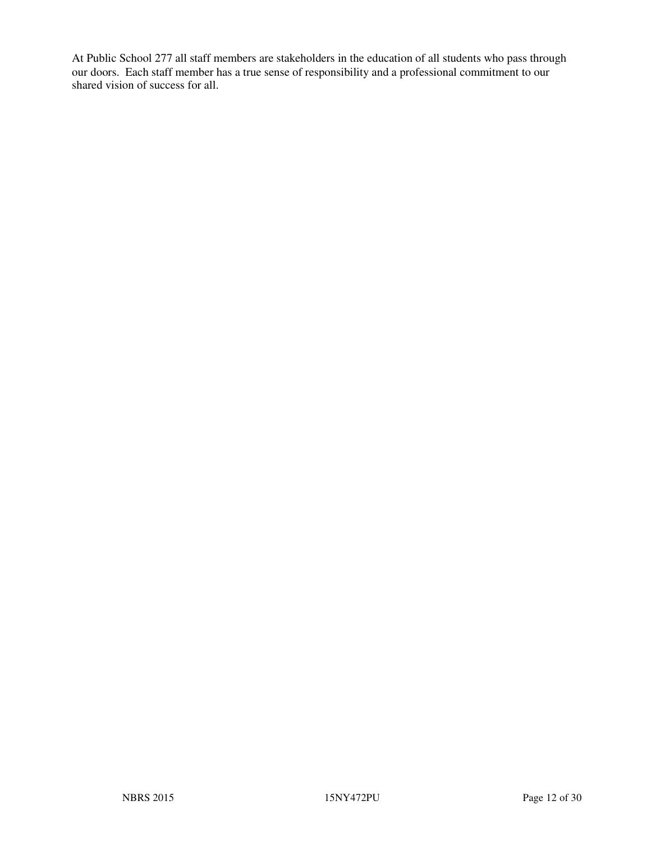At Public School 277 all staff members are stakeholders in the education of all students who pass through our doors. Each staff member has a true sense of responsibility and a professional commitment to our shared vision of success for all.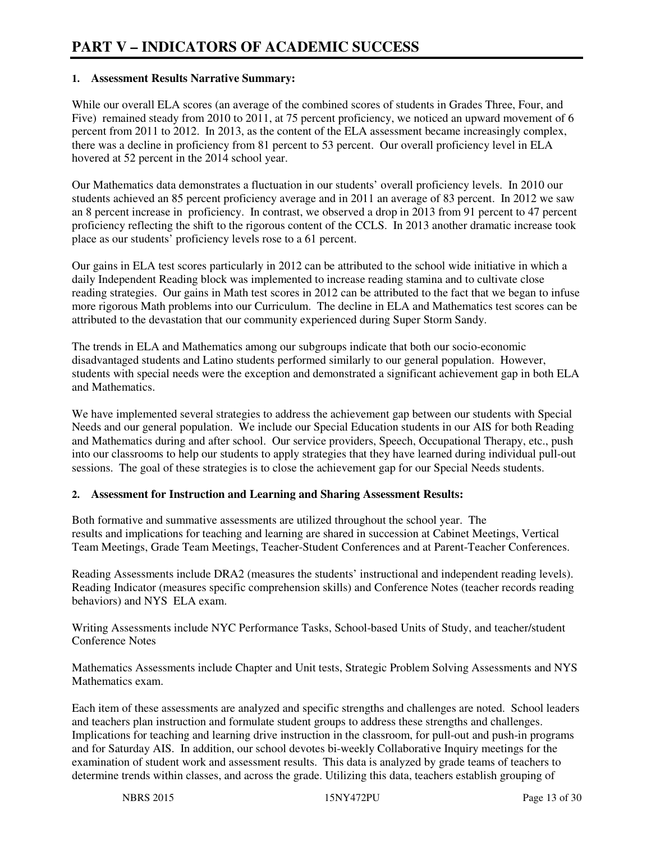#### **1. Assessment Results Narrative Summary:**

While our overall ELA scores (an average of the combined scores of students in Grades Three, Four, and Five) remained steady from 2010 to 2011, at 75 percent proficiency, we noticed an upward movement of 6 percent from 2011 to 2012. In 2013, as the content of the ELA assessment became increasingly complex, there was a decline in proficiency from 81 percent to 53 percent. Our overall proficiency level in ELA hovered at 52 percent in the 2014 school year.

Our Mathematics data demonstrates a fluctuation in our students' overall proficiency levels. In 2010 our students achieved an 85 percent proficiency average and in 2011 an average of 83 percent. In 2012 we saw an 8 percent increase in proficiency. In contrast, we observed a drop in 2013 from 91 percent to 47 percent proficiency reflecting the shift to the rigorous content of the CCLS. In 2013 another dramatic increase took place as our students' proficiency levels rose to a 61 percent.

Our gains in ELA test scores particularly in 2012 can be attributed to the school wide initiative in which a daily Independent Reading block was implemented to increase reading stamina and to cultivate close reading strategies. Our gains in Math test scores in 2012 can be attributed to the fact that we began to infuse more rigorous Math problems into our Curriculum. The decline in ELA and Mathematics test scores can be attributed to the devastation that our community experienced during Super Storm Sandy.

The trends in ELA and Mathematics among our subgroups indicate that both our socio-economic disadvantaged students and Latino students performed similarly to our general population. However, students with special needs were the exception and demonstrated a significant achievement gap in both ELA and Mathematics.

We have implemented several strategies to address the achievement gap between our students with Special Needs and our general population. We include our Special Education students in our AIS for both Reading and Mathematics during and after school. Our service providers, Speech, Occupational Therapy, etc., push into our classrooms to help our students to apply strategies that they have learned during individual pull-out sessions. The goal of these strategies is to close the achievement gap for our Special Needs students.

#### **2. Assessment for Instruction and Learning and Sharing Assessment Results:**

Both formative and summative assessments are utilized throughout the school year. The results and implications for teaching and learning are shared in succession at Cabinet Meetings, Vertical Team Meetings, Grade Team Meetings, Teacher-Student Conferences and at Parent-Teacher Conferences.

Reading Assessments include DRA2 (measures the students' instructional and independent reading levels). Reading Indicator (measures specific comprehension skills) and Conference Notes (teacher records reading behaviors) and NYS ELA exam.

Writing Assessments include NYC Performance Tasks, School-based Units of Study, and teacher/student Conference Notes

Mathematics Assessments include Chapter and Unit tests, Strategic Problem Solving Assessments and NYS Mathematics exam.

Each item of these assessments are analyzed and specific strengths and challenges are noted. School leaders and teachers plan instruction and formulate student groups to address these strengths and challenges. Implications for teaching and learning drive instruction in the classroom, for pull-out and push-in programs and for Saturday AIS. In addition, our school devotes bi-weekly Collaborative Inquiry meetings for the examination of student work and assessment results. This data is analyzed by grade teams of teachers to determine trends within classes, and across the grade. Utilizing this data, teachers establish grouping of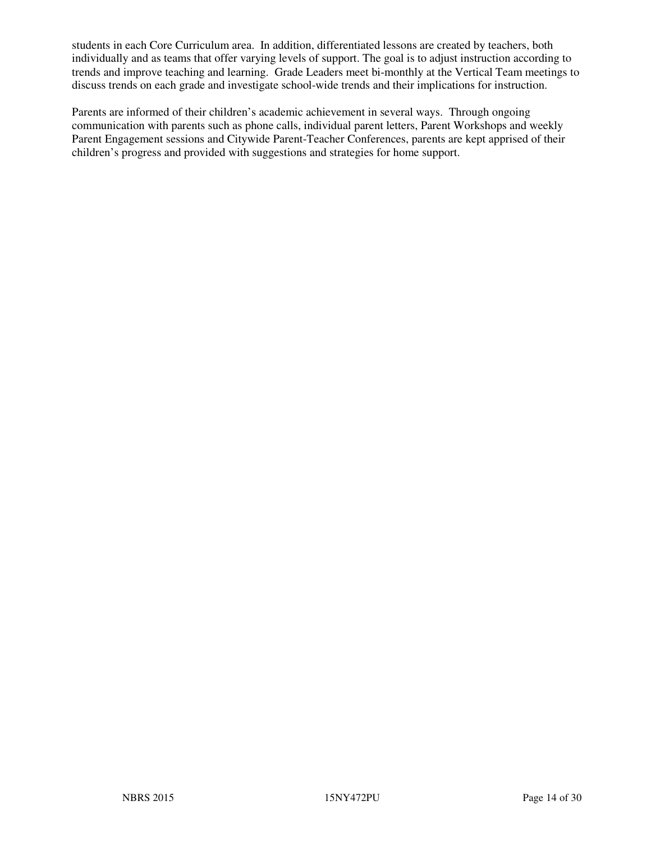students in each Core Curriculum area. In addition, differentiated lessons are created by teachers, both individually and as teams that offer varying levels of support. The goal is to adjust instruction according to trends and improve teaching and learning. Grade Leaders meet bi-monthly at the Vertical Team meetings to discuss trends on each grade and investigate school-wide trends and their implications for instruction.

Parents are informed of their children's academic achievement in several ways. Through ongoing communication with parents such as phone calls, individual parent letters, Parent Workshops and weekly Parent Engagement sessions and Citywide Parent-Teacher Conferences, parents are kept apprised of their children's progress and provided with suggestions and strategies for home support.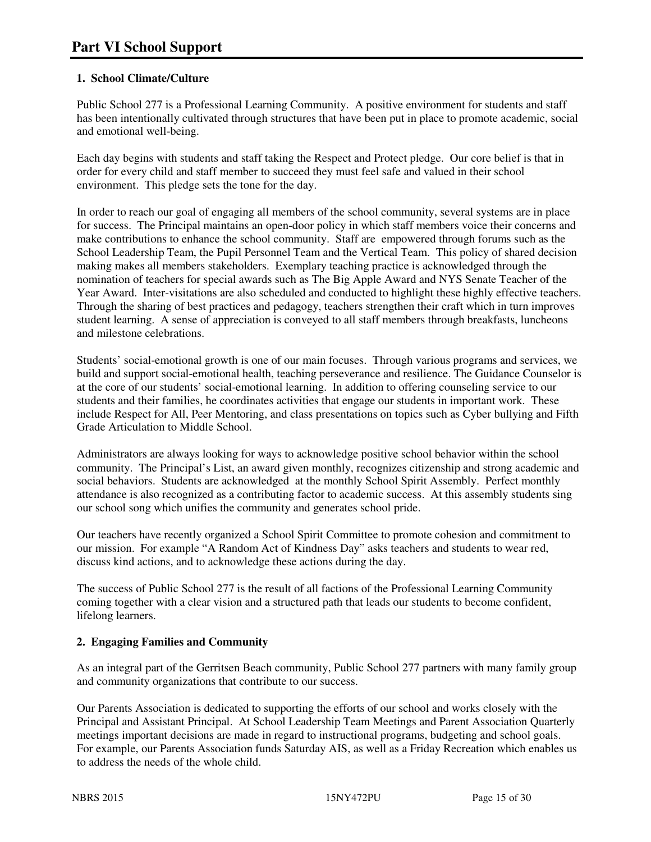## **1. School Climate/Culture**

Public School 277 is a Professional Learning Community. A positive environment for students and staff has been intentionally cultivated through structures that have been put in place to promote academic, social and emotional well-being.

Each day begins with students and staff taking the Respect and Protect pledge. Our core belief is that in order for every child and staff member to succeed they must feel safe and valued in their school environment. This pledge sets the tone for the day.

In order to reach our goal of engaging all members of the school community, several systems are in place for success. The Principal maintains an open-door policy in which staff members voice their concerns and make contributions to enhance the school community. Staff are empowered through forums such as the School Leadership Team, the Pupil Personnel Team and the Vertical Team. This policy of shared decision making makes all members stakeholders. Exemplary teaching practice is acknowledged through the nomination of teachers for special awards such as The Big Apple Award and NYS Senate Teacher of the Year Award. Inter-visitations are also scheduled and conducted to highlight these highly effective teachers. Through the sharing of best practices and pedagogy, teachers strengthen their craft which in turn improves student learning. A sense of appreciation is conveyed to all staff members through breakfasts, luncheons and milestone celebrations.

Students' social-emotional growth is one of our main focuses. Through various programs and services, we build and support social-emotional health, teaching perseverance and resilience. The Guidance Counselor is at the core of our students' social-emotional learning. In addition to offering counseling service to our students and their families, he coordinates activities that engage our students in important work. These include Respect for All, Peer Mentoring, and class presentations on topics such as Cyber bullying and Fifth Grade Articulation to Middle School.

Administrators are always looking for ways to acknowledge positive school behavior within the school community. The Principal's List, an award given monthly, recognizes citizenship and strong academic and social behaviors. Students are acknowledged at the monthly School Spirit Assembly. Perfect monthly attendance is also recognized as a contributing factor to academic success. At this assembly students sing our school song which unifies the community and generates school pride.

Our teachers have recently organized a School Spirit Committee to promote cohesion and commitment to our mission. For example "A Random Act of Kindness Day" asks teachers and students to wear red, discuss kind actions, and to acknowledge these actions during the day.

The success of Public School 277 is the result of all factions of the Professional Learning Community coming together with a clear vision and a structured path that leads our students to become confident, lifelong learners.

## **2. Engaging Families and Community**

As an integral part of the Gerritsen Beach community, Public School 277 partners with many family group and community organizations that contribute to our success.

Our Parents Association is dedicated to supporting the efforts of our school and works closely with the Principal and Assistant Principal. At School Leadership Team Meetings and Parent Association Quarterly meetings important decisions are made in regard to instructional programs, budgeting and school goals. For example, our Parents Association funds Saturday AIS, as well as a Friday Recreation which enables us to address the needs of the whole child.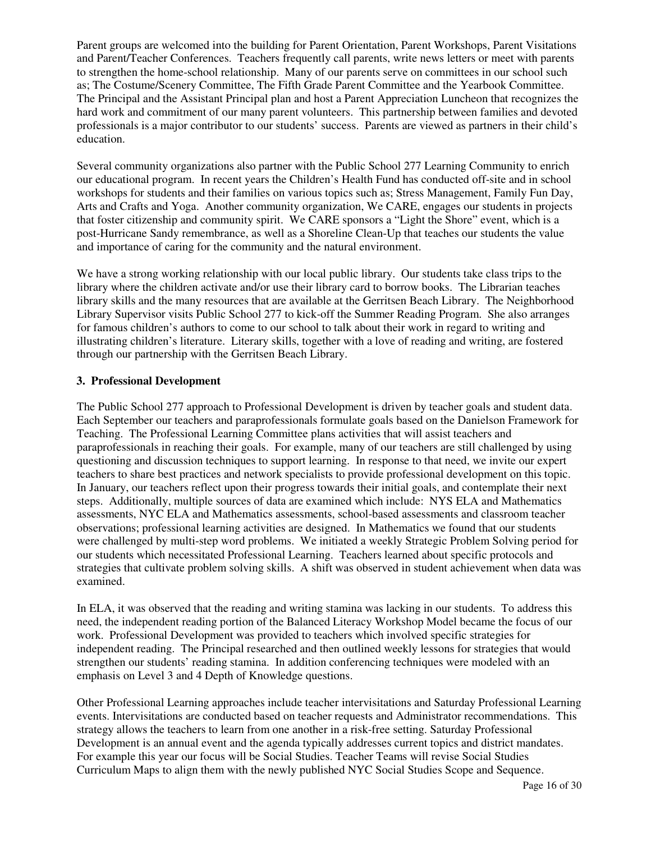Parent groups are welcomed into the building for Parent Orientation, Parent Workshops, Parent Visitations and Parent/Teacher Conferences. Teachers frequently call parents, write news letters or meet with parents to strengthen the home-school relationship. Many of our parents serve on committees in our school such as; The Costume/Scenery Committee, The Fifth Grade Parent Committee and the Yearbook Committee. The Principal and the Assistant Principal plan and host a Parent Appreciation Luncheon that recognizes the hard work and commitment of our many parent volunteers. This partnership between families and devoted professionals is a major contributor to our students' success. Parents are viewed as partners in their child's education.

Several community organizations also partner with the Public School 277 Learning Community to enrich our educational program. In recent years the Children's Health Fund has conducted off-site and in school workshops for students and their families on various topics such as; Stress Management, Family Fun Day, Arts and Crafts and Yoga. Another community organization, We CARE, engages our students in projects that foster citizenship and community spirit. We CARE sponsors a "Light the Shore" event, which is a post-Hurricane Sandy remembrance, as well as a Shoreline Clean-Up that teaches our students the value and importance of caring for the community and the natural environment.

We have a strong working relationship with our local public library. Our students take class trips to the library where the children activate and/or use their library card to borrow books. The Librarian teaches library skills and the many resources that are available at the Gerritsen Beach Library. The Neighborhood Library Supervisor visits Public School 277 to kick-off the Summer Reading Program. She also arranges for famous children's authors to come to our school to talk about their work in regard to writing and illustrating children's literature. Literary skills, together with a love of reading and writing, are fostered through our partnership with the Gerritsen Beach Library.

#### **3. Professional Development**

The Public School 277 approach to Professional Development is driven by teacher goals and student data. Each September our teachers and paraprofessionals formulate goals based on the Danielson Framework for Teaching. The Professional Learning Committee plans activities that will assist teachers and paraprofessionals in reaching their goals. For example, many of our teachers are still challenged by using questioning and discussion techniques to support learning. In response to that need, we invite our expert teachers to share best practices and network specialists to provide professional development on this topic. In January, our teachers reflect upon their progress towards their initial goals, and contemplate their next steps. Additionally, multiple sources of data are examined which include: NYS ELA and Mathematics assessments, NYC ELA and Mathematics assessments, school-based assessments and classroom teacher observations; professional learning activities are designed. In Mathematics we found that our students were challenged by multi-step word problems. We initiated a weekly Strategic Problem Solving period for our students which necessitated Professional Learning. Teachers learned about specific protocols and strategies that cultivate problem solving skills. A shift was observed in student achievement when data was examined.

In ELA, it was observed that the reading and writing stamina was lacking in our students. To address this need, the independent reading portion of the Balanced Literacy Workshop Model became the focus of our work. Professional Development was provided to teachers which involved specific strategies for independent reading. The Principal researched and then outlined weekly lessons for strategies that would strengthen our students' reading stamina. In addition conferencing techniques were modeled with an emphasis on Level 3 and 4 Depth of Knowledge questions.

Other Professional Learning approaches include teacher intervisitations and Saturday Professional Learning events. Intervisitations are conducted based on teacher requests and Administrator recommendations. This strategy allows the teachers to learn from one another in a risk-free setting. Saturday Professional Development is an annual event and the agenda typically addresses current topics and district mandates. For example this year our focus will be Social Studies. Teacher Teams will revise Social Studies Curriculum Maps to align them with the newly published NYC Social Studies Scope and Sequence.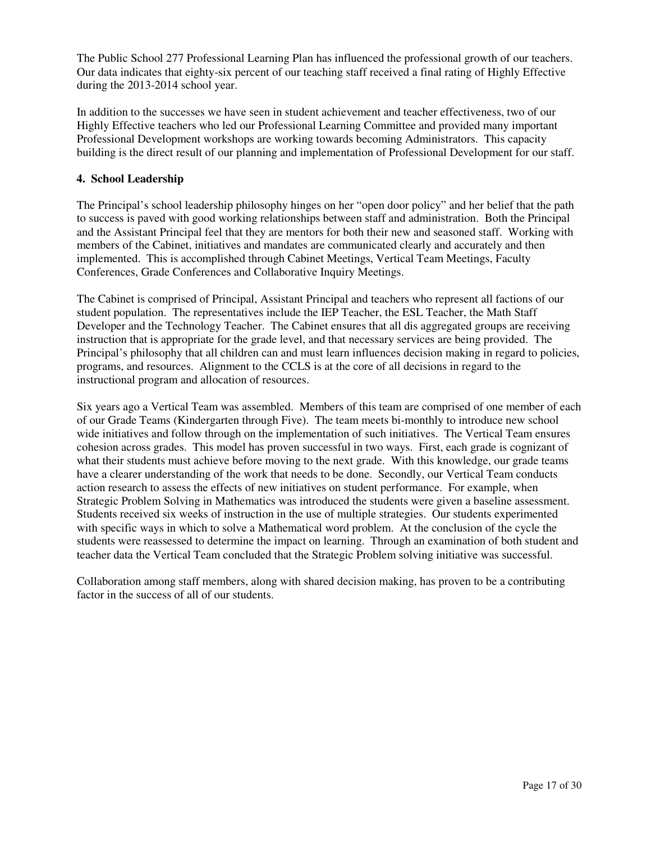The Public School 277 Professional Learning Plan has influenced the professional growth of our teachers. Our data indicates that eighty-six percent of our teaching staff received a final rating of Highly Effective during the 2013-2014 school year.

In addition to the successes we have seen in student achievement and teacher effectiveness, two of our Highly Effective teachers who led our Professional Learning Committee and provided many important Professional Development workshops are working towards becoming Administrators. This capacity building is the direct result of our planning and implementation of Professional Development for our staff.

#### **4. School Leadership**

The Principal's school leadership philosophy hinges on her "open door policy" and her belief that the path to success is paved with good working relationships between staff and administration. Both the Principal and the Assistant Principal feel that they are mentors for both their new and seasoned staff. Working with members of the Cabinet, initiatives and mandates are communicated clearly and accurately and then implemented. This is accomplished through Cabinet Meetings, Vertical Team Meetings, Faculty Conferences, Grade Conferences and Collaborative Inquiry Meetings.

The Cabinet is comprised of Principal, Assistant Principal and teachers who represent all factions of our student population. The representatives include the IEP Teacher, the ESL Teacher, the Math Staff Developer and the Technology Teacher. The Cabinet ensures that all dis aggregated groups are receiving instruction that is appropriate for the grade level, and that necessary services are being provided. The Principal's philosophy that all children can and must learn influences decision making in regard to policies, programs, and resources. Alignment to the CCLS is at the core of all decisions in regard to the instructional program and allocation of resources.

Six years ago a Vertical Team was assembled. Members of this team are comprised of one member of each of our Grade Teams (Kindergarten through Five). The team meets bi-monthly to introduce new school wide initiatives and follow through on the implementation of such initiatives. The Vertical Team ensures cohesion across grades. This model has proven successful in two ways. First, each grade is cognizant of what their students must achieve before moving to the next grade. With this knowledge, our grade teams have a clearer understanding of the work that needs to be done. Secondly, our Vertical Team conducts action research to assess the effects of new initiatives on student performance. For example, when Strategic Problem Solving in Mathematics was introduced the students were given a baseline assessment. Students received six weeks of instruction in the use of multiple strategies. Our students experimented with specific ways in which to solve a Mathematical word problem. At the conclusion of the cycle the students were reassessed to determine the impact on learning. Through an examination of both student and teacher data the Vertical Team concluded that the Strategic Problem solving initiative was successful.

Collaboration among staff members, along with shared decision making, has proven to be a contributing factor in the success of all of our students.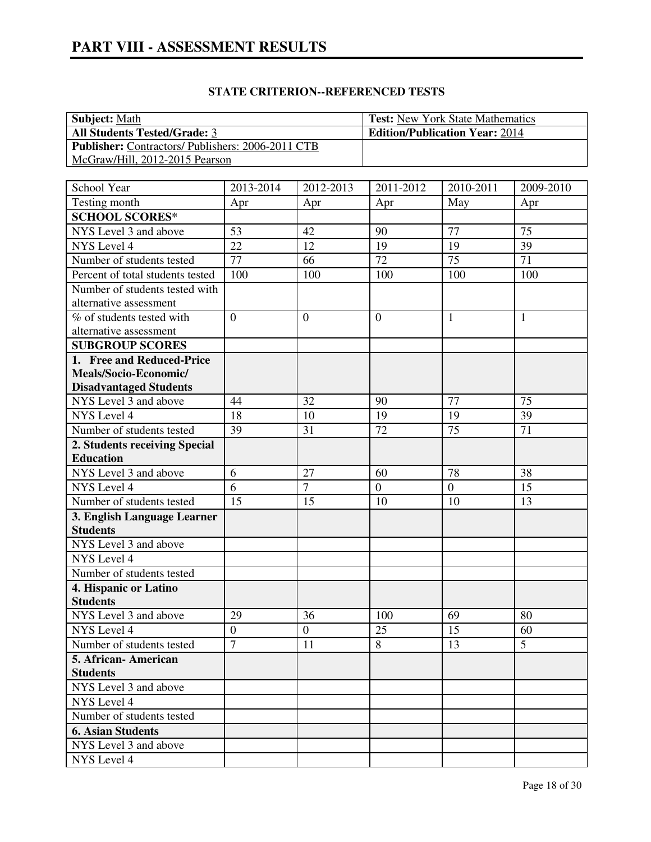| <b>Subject:</b> Math                                     | <b>Test:</b> New York State Mathematics |
|----------------------------------------------------------|-----------------------------------------|
| <b>All Students Tested/Grade: 3</b>                      | <b>Edition/Publication Year: 2014</b>   |
| <b>Publisher:</b> Contractors/ Publishers: 2006-2011 CTB |                                         |
| McGraw/Hill, 2012-2015 Pearson                           |                                         |

| School Year                                    | 2013-2014           | 2012-2013            | 2011-2012        | 2010-2011      | 2009-2010 |
|------------------------------------------------|---------------------|----------------------|------------------|----------------|-----------|
| Testing month                                  | Apr                 | Apr                  | Apr              | May            | Apr       |
| <b>SCHOOL SCORES*</b>                          |                     |                      |                  |                |           |
| NYS Level 3 and above                          | 53                  | 42                   | 90               | 77             | 75        |
| NYS Level 4                                    | 22                  | 12                   | 19               | 19             | 39        |
| Number of students tested                      | 77                  | 66                   | 72               | 75             | 71        |
| Percent of total students tested               | 100                 | 100                  | 100              | 100            | 100       |
| Number of students tested with                 |                     |                      |                  |                |           |
| alternative assessment                         |                     |                      |                  |                |           |
| % of students tested with                      | $\overline{0}$      | $\overline{0}$       | $\overline{0}$   | 1              | 1         |
| alternative assessment                         |                     |                      |                  |                |           |
| <b>SUBGROUP SCORES</b>                         |                     |                      |                  |                |           |
| 1. Free and Reduced-Price                      |                     |                      |                  |                |           |
| Meals/Socio-Economic/                          |                     |                      |                  |                |           |
| <b>Disadvantaged Students</b>                  |                     |                      |                  |                |           |
| NYS Level 3 and above                          | 44                  | 32                   | 90               | 77             | 75        |
| NYS Level 4                                    | 18                  | 10                   | 19               | 19             | 39        |
| Number of students tested                      | 39                  | 31                   | 72               | 75             | 71        |
| 2. Students receiving Special                  |                     |                      |                  |                |           |
| <b>Education</b>                               |                     |                      |                  |                |           |
| NYS Level 3 and above                          | 6<br>$\overline{6}$ | 27<br>$\overline{7}$ | 60               | 78             | 38        |
| NYS Level 4                                    |                     |                      | $\boldsymbol{0}$ | $\overline{0}$ | 15        |
| Number of students tested                      | 15                  | 15                   | 10               | 10             | 13        |
| 3. English Language Learner<br><b>Students</b> |                     |                      |                  |                |           |
| NYS Level 3 and above                          |                     |                      |                  |                |           |
| NYS Level 4                                    |                     |                      |                  |                |           |
| Number of students tested                      |                     |                      |                  |                |           |
| 4. Hispanic or Latino                          |                     |                      |                  |                |           |
| <b>Students</b>                                |                     |                      |                  |                |           |
| NYS Level 3 and above                          | 29                  | 36                   | 100              | 69             | 80        |
| NYS Level 4                                    | $\boldsymbol{0}$    | $\boldsymbol{0}$     | 25               | 15             | 60        |
| Number of students tested                      | $\overline{7}$      | 11                   | 8                | 13             | 5         |
| 5. African- American                           |                     |                      |                  |                |           |
| <b>Students</b>                                |                     |                      |                  |                |           |
| NYS Level 3 and above                          |                     |                      |                  |                |           |
| NYS Level 4                                    |                     |                      |                  |                |           |
| Number of students tested                      |                     |                      |                  |                |           |
| <b>6. Asian Students</b>                       |                     |                      |                  |                |           |
| NYS Level 3 and above                          |                     |                      |                  |                |           |
| NYS Level 4                                    |                     |                      |                  |                |           |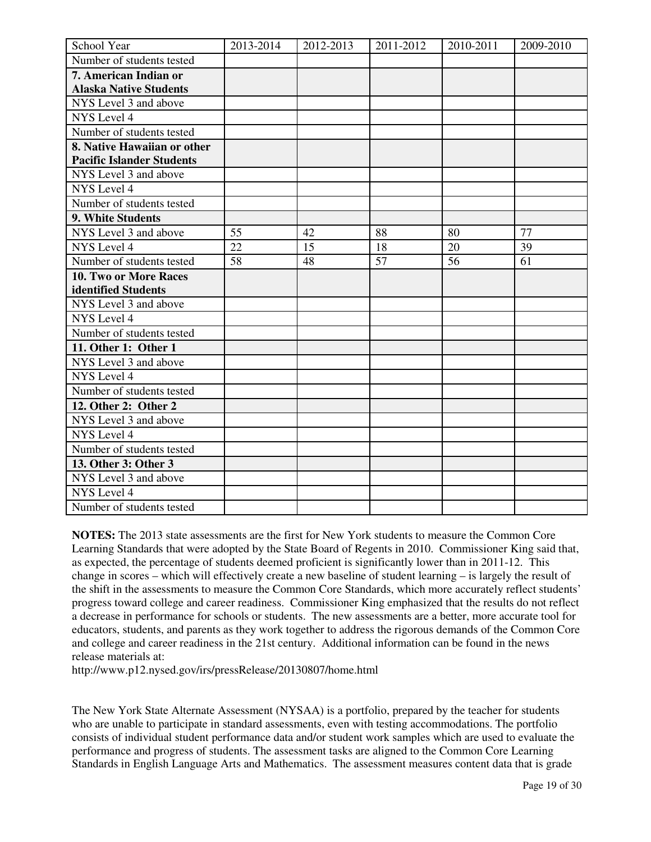| School Year                      | 2013-2014 | 2012-2013 | 2011-2012 | 2010-2011 | 2009-2010 |
|----------------------------------|-----------|-----------|-----------|-----------|-----------|
| Number of students tested        |           |           |           |           |           |
| 7. American Indian or            |           |           |           |           |           |
| <b>Alaska Native Students</b>    |           |           |           |           |           |
| NYS Level 3 and above            |           |           |           |           |           |
| NYS Level 4                      |           |           |           |           |           |
| Number of students tested        |           |           |           |           |           |
| 8. Native Hawaiian or other      |           |           |           |           |           |
| <b>Pacific Islander Students</b> |           |           |           |           |           |
| NYS Level 3 and above            |           |           |           |           |           |
| NYS Level 4                      |           |           |           |           |           |
| Number of students tested        |           |           |           |           |           |
| 9. White Students                |           |           |           |           |           |
| NYS Level 3 and above            | 55        | 42        | 88        | 80        | 77        |
| NYS Level 4                      | 22        | 15        | 18        | 20        | 39        |
| Number of students tested        | 58        | 48        | 57        | 56        | 61        |
| 10. Two or More Races            |           |           |           |           |           |
| identified Students              |           |           |           |           |           |
| NYS Level 3 and above            |           |           |           |           |           |
| NYS Level 4                      |           |           |           |           |           |
| Number of students tested        |           |           |           |           |           |
| 11. Other 1: Other 1             |           |           |           |           |           |
| NYS Level 3 and above            |           |           |           |           |           |
| NYS Level 4                      |           |           |           |           |           |
| Number of students tested        |           |           |           |           |           |
| 12. Other 2: Other 2             |           |           |           |           |           |
| NYS Level 3 and above            |           |           |           |           |           |
| NYS Level 4                      |           |           |           |           |           |
| Number of students tested        |           |           |           |           |           |
| 13. Other 3: Other 3             |           |           |           |           |           |
| NYS Level 3 and above            |           |           |           |           |           |
| NYS Level 4                      |           |           |           |           |           |
| Number of students tested        |           |           |           |           |           |

**NOTES:** The 2013 state assessments are the first for New York students to measure the Common Core Learning Standards that were adopted by the State Board of Regents in 2010. Commissioner King said that, as expected, the percentage of students deemed proficient is significantly lower than in 2011-12. This change in scores – which will effectively create a new baseline of student learning – is largely the result of the shift in the assessments to measure the Common Core Standards, which more accurately reflect students' progress toward college and career readiness. Commissioner King emphasized that the results do not reflect a decrease in performance for schools or students. The new assessments are a better, more accurate tool for educators, students, and parents as they work together to address the rigorous demands of the Common Core and college and career readiness in the 21st century. Additional information can be found in the news release materials at:

http://www.p12.nysed.gov/irs/pressRelease/20130807/home.html

The New York State Alternate Assessment (NYSAA) is a portfolio, prepared by the teacher for students who are unable to participate in standard assessments, even with testing accommodations. The portfolio consists of individual student performance data and/or student work samples which are used to evaluate the performance and progress of students. The assessment tasks are aligned to the Common Core Learning Standards in English Language Arts and Mathematics. The assessment measures content data that is grade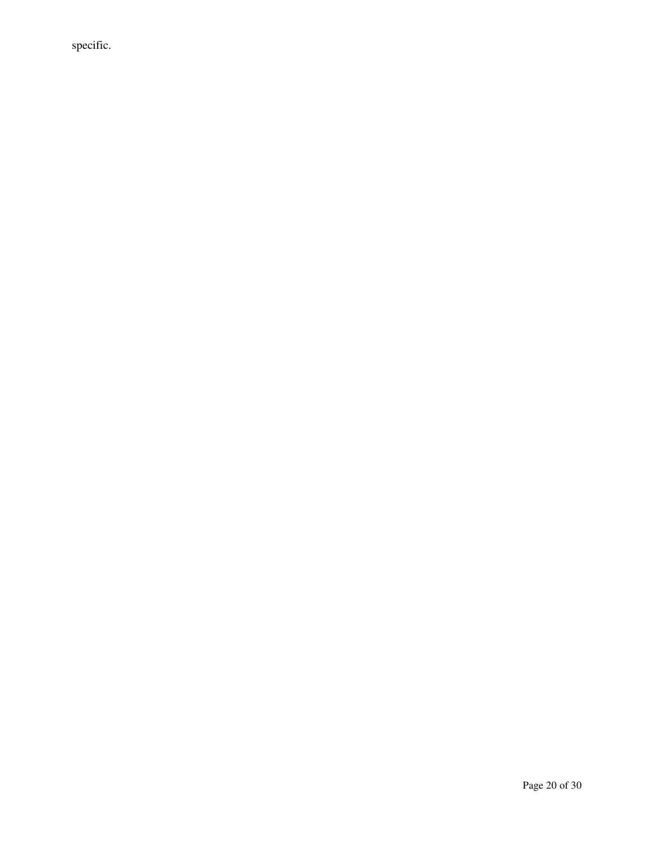specific.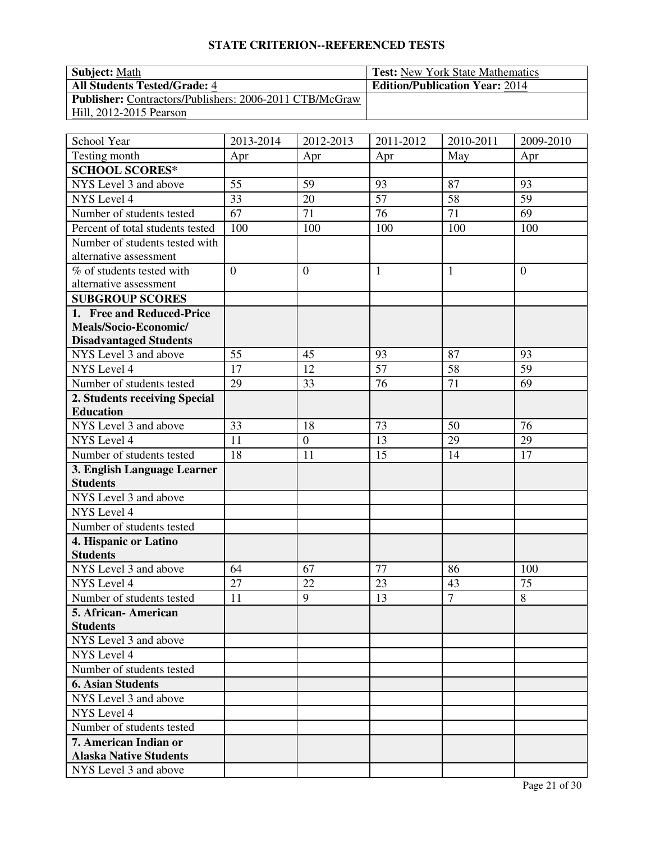| <b>Subject:</b> Math                                           | <b>Test:</b> New York State Mathematics |
|----------------------------------------------------------------|-----------------------------------------|
| <b>All Students Tested/Grade: 4</b>                            | <b>Edition/Publication Year: 2014</b>   |
| <b>Publisher:</b> Contractors/Publishers: 2006-2011 CTB/McGraw |                                         |
| Hill, 2012-2015 Pearson                                        |                                         |

| School Year                                              | 2013-2014      | 2012-2013        | 2011-2012       | 2010-2011      | 2009-2010      |
|----------------------------------------------------------|----------------|------------------|-----------------|----------------|----------------|
| Testing month                                            | Apr            | Apr              | Apr             | May            | Apr            |
| <b>SCHOOL SCORES*</b>                                    |                |                  |                 |                |                |
| NYS Level 3 and above                                    | 55             | 59               | 93              | 87             | 93             |
| NYS Level 4                                              | 33             | 20               | $\overline{57}$ | 58             | 59             |
| Number of students tested                                | 67             | 71               | 76              | 71             | 69             |
| Percent of total students tested                         | 100            | 100              | 100             | 100            | 100            |
| Number of students tested with<br>alternative assessment |                |                  |                 |                |                |
| % of students tested with<br>alternative assessment      | $\overline{0}$ | $\boldsymbol{0}$ | $\mathbf{1}$    | 1              | $\overline{0}$ |
| <b>SUBGROUP SCORES</b>                                   |                |                  |                 |                |                |
| 1. Free and Reduced-Price                                |                |                  |                 |                |                |
| Meals/Socio-Economic/                                    |                |                  |                 |                |                |
| <b>Disadvantaged Students</b>                            |                |                  |                 |                |                |
| NYS Level 3 and above                                    | 55             | 45               | 93              | 87             | 93             |
| NYS Level 4                                              | 17             | 12               | 57              | 58             | 59             |
| Number of students tested                                | 29             | 33               | 76              | 71             | 69             |
| 2. Students receiving Special                            |                |                  |                 |                |                |
| <b>Education</b>                                         |                |                  |                 |                |                |
| NYS Level 3 and above                                    | 33             | 18               | 73              | 50             | 76             |
| NYS Level 4                                              | 11             | $\boldsymbol{0}$ | 13              | 29             | 29             |
| Number of students tested                                | 18             | 11               | 15              | 14             | 17             |
| 3. English Language Learner                              |                |                  |                 |                |                |
| <b>Students</b>                                          |                |                  |                 |                |                |
| NYS Level 3 and above                                    |                |                  |                 |                |                |
| NYS Level 4                                              |                |                  |                 |                |                |
| Number of students tested                                |                |                  |                 |                |                |
| 4. Hispanic or Latino<br><b>Students</b>                 |                |                  |                 |                |                |
| NYS Level 3 and above                                    | 64             | 67               | 77              | 86             | 100            |
| NYS Level 4                                              | 27             | 22               | 23              | 43             | 75             |
| Number of students tested                                | 11             | 9                | 13              | $\overline{7}$ | 8              |
| 5. African-American                                      |                |                  |                 |                |                |
| <b>Students</b>                                          |                |                  |                 |                |                |
| NYS Level 3 and above                                    |                |                  |                 |                |                |
| NYS Level 4                                              |                |                  |                 |                |                |
| Number of students tested                                |                |                  |                 |                |                |
| <b>6. Asian Students</b>                                 |                |                  |                 |                |                |
| NYS Level 3 and above                                    |                |                  |                 |                |                |
| NYS Level 4                                              |                |                  |                 |                |                |
| Number of students tested                                |                |                  |                 |                |                |
| 7. American Indian or                                    |                |                  |                 |                |                |
| <b>Alaska Native Students</b>                            |                |                  |                 |                |                |
| NYS Level 3 and above                                    |                |                  |                 |                |                |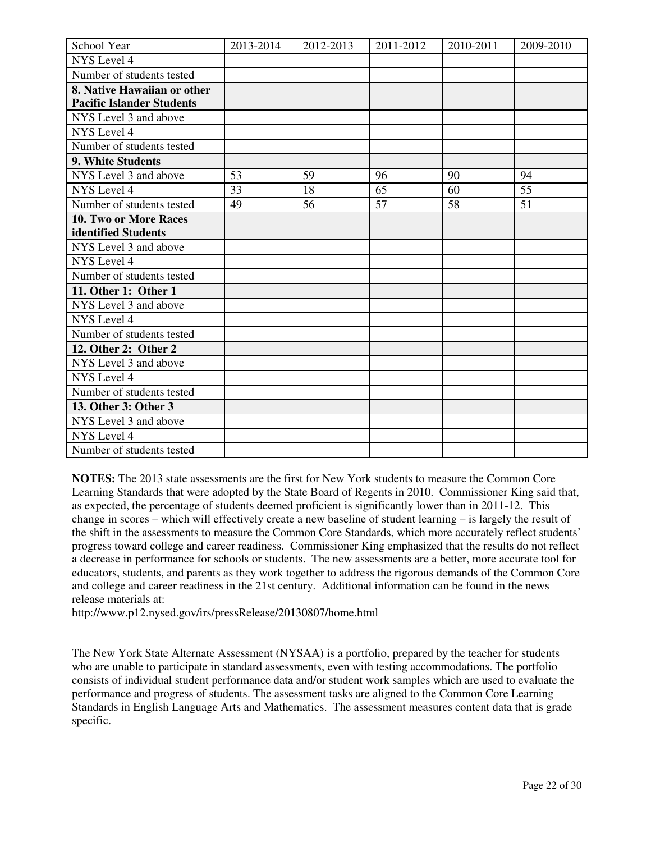| School Year                      | 2013-2014 | 2012-2013 | 2011-2012 | 2010-2011 | 2009-2010 |
|----------------------------------|-----------|-----------|-----------|-----------|-----------|
| <b>NYS</b> Level 4               |           |           |           |           |           |
| Number of students tested        |           |           |           |           |           |
| 8. Native Hawaiian or other      |           |           |           |           |           |
| <b>Pacific Islander Students</b> |           |           |           |           |           |
| NYS Level 3 and above            |           |           |           |           |           |
| NYS Level 4                      |           |           |           |           |           |
| Number of students tested        |           |           |           |           |           |
| 9. White Students                |           |           |           |           |           |
| NYS Level 3 and above            | 53        | 59        | 96        | 90        | 94        |
| <b>NYS</b> Level 4               | 33        | 18        | 65        | 60        | 55        |
| Number of students tested        | 49        | 56        | 57        | 58        | 51        |
| 10. Two or More Races            |           |           |           |           |           |
| identified Students              |           |           |           |           |           |
| NYS Level 3 and above            |           |           |           |           |           |
| NYS Level 4                      |           |           |           |           |           |
| Number of students tested        |           |           |           |           |           |
| 11. Other 1: Other 1             |           |           |           |           |           |
| NYS Level 3 and above            |           |           |           |           |           |
| NYS Level 4                      |           |           |           |           |           |
| Number of students tested        |           |           |           |           |           |
| 12. Other 2: Other 2             |           |           |           |           |           |
| NYS Level 3 and above            |           |           |           |           |           |
| NYS Level 4                      |           |           |           |           |           |
| Number of students tested        |           |           |           |           |           |
| 13. Other 3: Other 3             |           |           |           |           |           |
| NYS Level 3 and above            |           |           |           |           |           |
| <b>NYS</b> Level 4               |           |           |           |           |           |
| Number of students tested        |           |           |           |           |           |

**NOTES:** The 2013 state assessments are the first for New York students to measure the Common Core Learning Standards that were adopted by the State Board of Regents in 2010. Commissioner King said that, as expected, the percentage of students deemed proficient is significantly lower than in 2011-12. This change in scores – which will effectively create a new baseline of student learning – is largely the result of the shift in the assessments to measure the Common Core Standards, which more accurately reflect students' progress toward college and career readiness. Commissioner King emphasized that the results do not reflect a decrease in performance for schools or students. The new assessments are a better, more accurate tool for educators, students, and parents as they work together to address the rigorous demands of the Common Core and college and career readiness in the 21st century. Additional information can be found in the news release materials at:

http://www.p12.nysed.gov/irs/pressRelease/20130807/home.html

The New York State Alternate Assessment (NYSAA) is a portfolio, prepared by the teacher for students who are unable to participate in standard assessments, even with testing accommodations. The portfolio consists of individual student performance data and/or student work samples which are used to evaluate the performance and progress of students. The assessment tasks are aligned to the Common Core Learning Standards in English Language Arts and Mathematics. The assessment measures content data that is grade specific.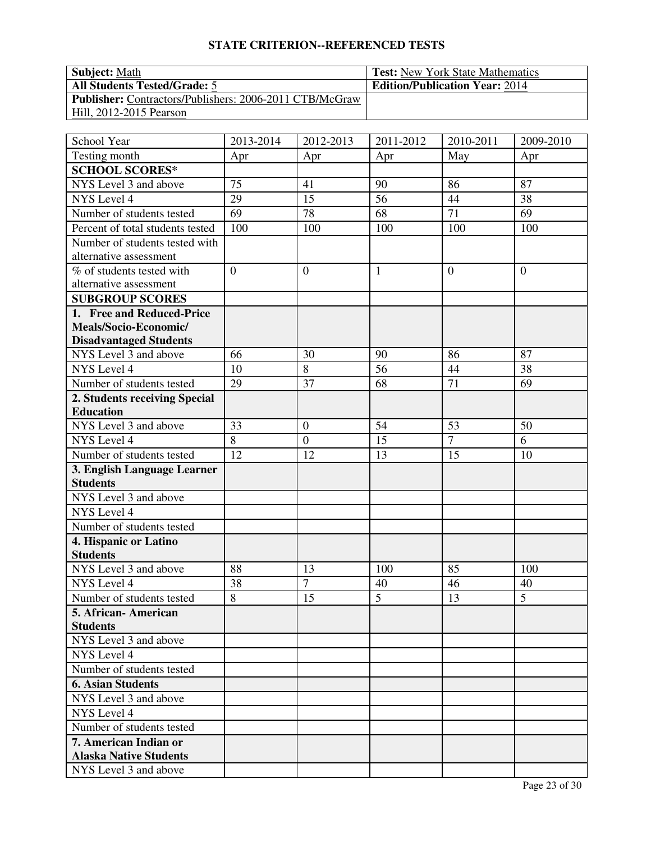| <b>Subject:</b> Math                                           | <b>Test:</b> New York State Mathematics |
|----------------------------------------------------------------|-----------------------------------------|
| <b>All Students Tested/Grade: 5</b>                            | <b>Edition/Publication Year: 2014</b>   |
| <b>Publisher:</b> Contractors/Publishers: 2006-2011 CTB/McGraw |                                         |
| Hill, 2012-2015 Pearson                                        |                                         |

| School Year                      | 2013-2014      | 2012-2013        | 2011-2012      | 2010-2011      | 2009-2010      |
|----------------------------------|----------------|------------------|----------------|----------------|----------------|
| Testing month                    | Apr            | Apr              | Apr            | May            | Apr            |
| <b>SCHOOL SCORES*</b>            |                |                  |                |                |                |
| NYS Level 3 and above            | 75             | 41               | 90             | 86             | 87             |
| NYS Level 4                      | 29             | 15               | 56             | 44             | 38             |
| Number of students tested        | 69             | 78               | 68             | 71             | 69             |
| Percent of total students tested | 100            | 100              | 100            | 100            | 100            |
| Number of students tested with   |                |                  |                |                |                |
| alternative assessment           |                |                  |                |                |                |
| % of students tested with        | $\overline{0}$ | $\boldsymbol{0}$ | $\mathbf{1}$   | $\overline{0}$ | $\overline{0}$ |
| alternative assessment           |                |                  |                |                |                |
| <b>SUBGROUP SCORES</b>           |                |                  |                |                |                |
| 1. Free and Reduced-Price        |                |                  |                |                |                |
| Meals/Socio-Economic/            |                |                  |                |                |                |
| <b>Disadvantaged Students</b>    |                |                  |                |                |                |
| NYS Level 3 and above            | 66             | 30               | 90             | 86             | 87             |
| NYS Level 4                      | 10             | 8                | 56             | 44             | 38             |
| Number of students tested        | 29             | 37               | 68             | 71             | 69             |
| 2. Students receiving Special    |                |                  |                |                |                |
| <b>Education</b>                 |                |                  |                |                |                |
| NYS Level 3 and above            | 33             | $\boldsymbol{0}$ | 54             | 53             | 50             |
| NYS Level 4                      | 8              | $\mathbf{0}$     | 15             | $\overline{7}$ | 6              |
| Number of students tested        | 12             | 12               | 13             | 15             | 10             |
| 3. English Language Learner      |                |                  |                |                |                |
| <b>Students</b>                  |                |                  |                |                |                |
| NYS Level 3 and above            |                |                  |                |                |                |
| NYS Level 4                      |                |                  |                |                |                |
| Number of students tested        |                |                  |                |                |                |
| 4. Hispanic or Latino            |                |                  |                |                |                |
| <b>Students</b>                  |                |                  |                |                |                |
| NYS Level 3 and above            | 88             | 13               | 100            | 85             | 100            |
| NYS Level 4                      | 38             | $\overline{7}$   | 40             | 46             | 40             |
| Number of students tested        | 8              | 15               | $\overline{5}$ | 13             | $\overline{5}$ |
| 5. African - American            |                |                  |                |                |                |
| <b>Students</b>                  |                |                  |                |                |                |
| NYS Level 3 and above            |                |                  |                |                |                |
| <b>NYS</b> Level 4               |                |                  |                |                |                |
| Number of students tested        |                |                  |                |                |                |
| <b>6. Asian Students</b>         |                |                  |                |                |                |
| NYS Level 3 and above            |                |                  |                |                |                |
| NYS Level 4                      |                |                  |                |                |                |
| Number of students tested        |                |                  |                |                |                |
| 7. American Indian or            |                |                  |                |                |                |
| <b>Alaska Native Students</b>    |                |                  |                |                |                |
| NYS Level 3 and above            |                |                  |                |                |                |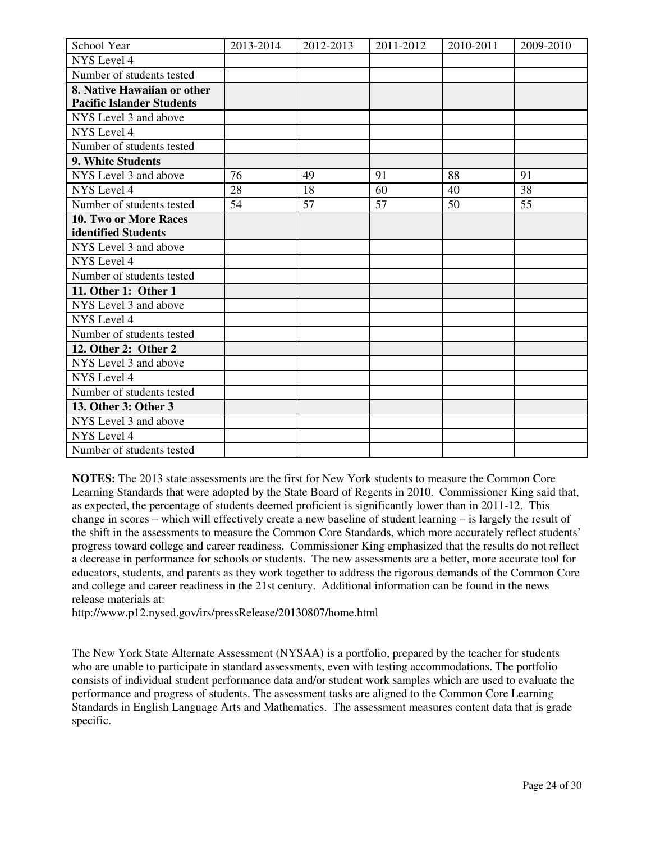| School Year                      | 2013-2014 | 2012-2013 | 2011-2012 | 2010-2011 | 2009-2010 |
|----------------------------------|-----------|-----------|-----------|-----------|-----------|
| NYS Level 4                      |           |           |           |           |           |
| Number of students tested        |           |           |           |           |           |
| 8. Native Hawaiian or other      |           |           |           |           |           |
| <b>Pacific Islander Students</b> |           |           |           |           |           |
| NYS Level 3 and above            |           |           |           |           |           |
| NYS Level 4                      |           |           |           |           |           |
| Number of students tested        |           |           |           |           |           |
| 9. White Students                |           |           |           |           |           |
| NYS Level 3 and above            | 76        | 49        | 91        | 88        | 91        |
| NYS Level 4                      | 28        | 18        | 60        | 40        | 38        |
| Number of students tested        | 54        | 57        | 57        | 50        | 55        |
| 10. Two or More Races            |           |           |           |           |           |
| identified Students              |           |           |           |           |           |
| NYS Level 3 and above            |           |           |           |           |           |
| NYS Level 4                      |           |           |           |           |           |
| Number of students tested        |           |           |           |           |           |
| 11. Other 1: Other 1             |           |           |           |           |           |
| NYS Level 3 and above            |           |           |           |           |           |
| <b>NYS</b> Level 4               |           |           |           |           |           |
| Number of students tested        |           |           |           |           |           |
| 12. Other 2: Other 2             |           |           |           |           |           |
| NYS Level 3 and above            |           |           |           |           |           |
| NYS Level 4                      |           |           |           |           |           |
| Number of students tested        |           |           |           |           |           |
| 13. Other 3: Other 3             |           |           |           |           |           |
| NYS Level 3 and above            |           |           |           |           |           |
| <b>NYS</b> Level 4               |           |           |           |           |           |
| Number of students tested        |           |           |           |           |           |

**NOTES:** The 2013 state assessments are the first for New York students to measure the Common Core Learning Standards that were adopted by the State Board of Regents in 2010. Commissioner King said that, as expected, the percentage of students deemed proficient is significantly lower than in 2011-12. This change in scores – which will effectively create a new baseline of student learning – is largely the result of the shift in the assessments to measure the Common Core Standards, which more accurately reflect students' progress toward college and career readiness. Commissioner King emphasized that the results do not reflect a decrease in performance for schools or students. The new assessments are a better, more accurate tool for educators, students, and parents as they work together to address the rigorous demands of the Common Core and college and career readiness in the 21st century. Additional information can be found in the news release materials at:

http://www.p12.nysed.gov/irs/pressRelease/20130807/home.html

The New York State Alternate Assessment (NYSAA) is a portfolio, prepared by the teacher for students who are unable to participate in standard assessments, even with testing accommodations. The portfolio consists of individual student performance data and/or student work samples which are used to evaluate the performance and progress of students. The assessment tasks are aligned to the Common Core Learning Standards in English Language Arts and Mathematics. The assessment measures content data that is grade specific.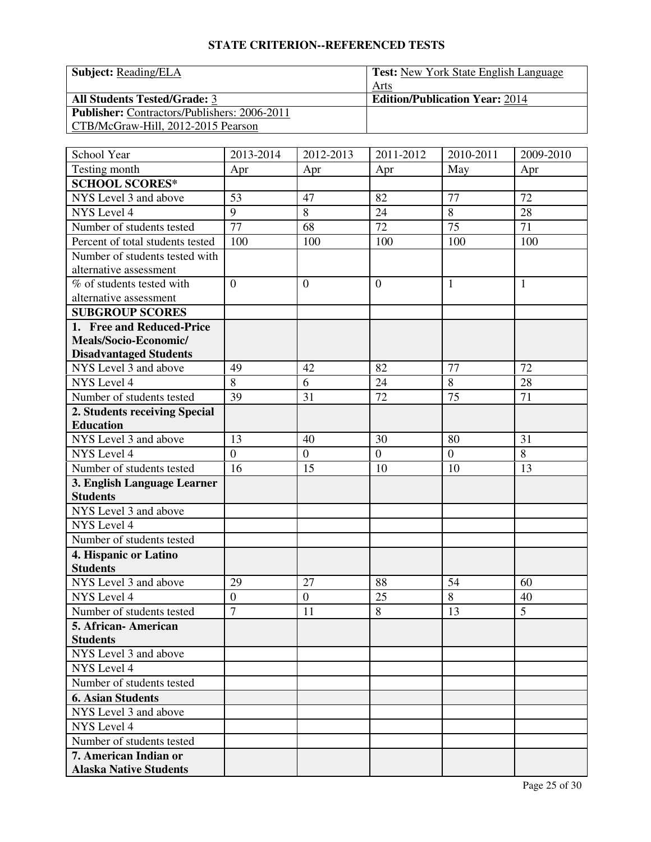| <b>Subject:</b> Reading/ELA                         | <b>Test:</b> New York State English Language |
|-----------------------------------------------------|----------------------------------------------|
|                                                     | Arts                                         |
| <b>All Students Tested/Grade: 3</b>                 | <b>Edition/Publication Year: 2014</b>        |
| <b>Publisher:</b> Contractors/Publishers: 2006-2011 |                                              |
| CTB/McGraw-Hill, 2012-2015 Pearson                  |                                              |

| School Year                                            | 2013-2014      | 2012-2013        | 2011-2012      | 2010-2011      | 2009-2010    |
|--------------------------------------------------------|----------------|------------------|----------------|----------------|--------------|
| Testing month                                          | Apr            | Apr              | Apr            | May            | Apr          |
| <b>SCHOOL SCORES*</b>                                  |                |                  |                |                |              |
| NYS Level 3 and above                                  | 53             | 47               | 82             | 77             | 72           |
| NYS Level 4                                            | 9              | 8                | 24             | $\overline{8}$ | 28           |
| Number of students tested                              | 77             | 68               | 72             | 75             | 71           |
| Percent of total students tested                       | 100            | 100              | 100            | 100            | 100          |
| Number of students tested with                         |                |                  |                |                |              |
| alternative assessment                                 |                |                  |                |                |              |
| % of students tested with                              | $\overline{0}$ | $\overline{0}$   | $\overline{0}$ | 1              | $\mathbf{1}$ |
| alternative assessment                                 |                |                  |                |                |              |
| <b>SUBGROUP SCORES</b>                                 |                |                  |                |                |              |
| 1. Free and Reduced-Price                              |                |                  |                |                |              |
| Meals/Socio-Economic/                                  |                |                  |                |                |              |
| <b>Disadvantaged Students</b>                          |                |                  |                |                |              |
| NYS Level 3 and above                                  | 49             | 42               | 82             | 77             | 72           |
| NYS Level 4                                            | 8              | 6                | 24             | 8              | 28           |
| Number of students tested                              | 39             | 31               | 72             | 75             | 71           |
| 2. Students receiving Special                          |                |                  |                |                |              |
| <b>Education</b>                                       |                |                  |                |                |              |
| NYS Level 3 and above                                  | 13             | 40               | 30             | 80             | 31           |
| NYS Level 4                                            | $\overline{0}$ | $\boldsymbol{0}$ | $\overline{0}$ | $\mathbf{0}$   | 8            |
| Number of students tested                              | 16             | 15               | 10             | 10             | 13           |
| 3. English Language Learner                            |                |                  |                |                |              |
| <b>Students</b>                                        |                |                  |                |                |              |
| NYS Level 3 and above                                  |                |                  |                |                |              |
| NYS Level 4                                            |                |                  |                |                |              |
| Number of students tested                              |                |                  |                |                |              |
| 4. Hispanic or Latino                                  |                |                  |                |                |              |
| <b>Students</b>                                        |                |                  |                |                |              |
| NYS Level 3 and above                                  | 29             | 27               | 88             | 54             | 60           |
| NYS Level 4                                            | $\overline{0}$ | $\overline{0}$   | 25             | $\overline{8}$ | 40           |
| Number of students tested                              | $\overline{7}$ | 11               | 8              | 13             | 5            |
| 5. African-American                                    |                |                  |                |                |              |
| <b>Students</b><br>NYS Level 3 and above               |                |                  |                |                |              |
| NYS Level 4                                            |                |                  |                |                |              |
|                                                        |                |                  |                |                |              |
| Number of students tested<br><b>6. Asian Students</b>  |                |                  |                |                |              |
|                                                        |                |                  |                |                |              |
| NYS Level 3 and above<br>NYS Level 4                   |                |                  |                |                |              |
| Number of students tested                              |                |                  |                |                |              |
|                                                        |                |                  |                |                |              |
| 7. American Indian or<br><b>Alaska Native Students</b> |                |                  |                |                |              |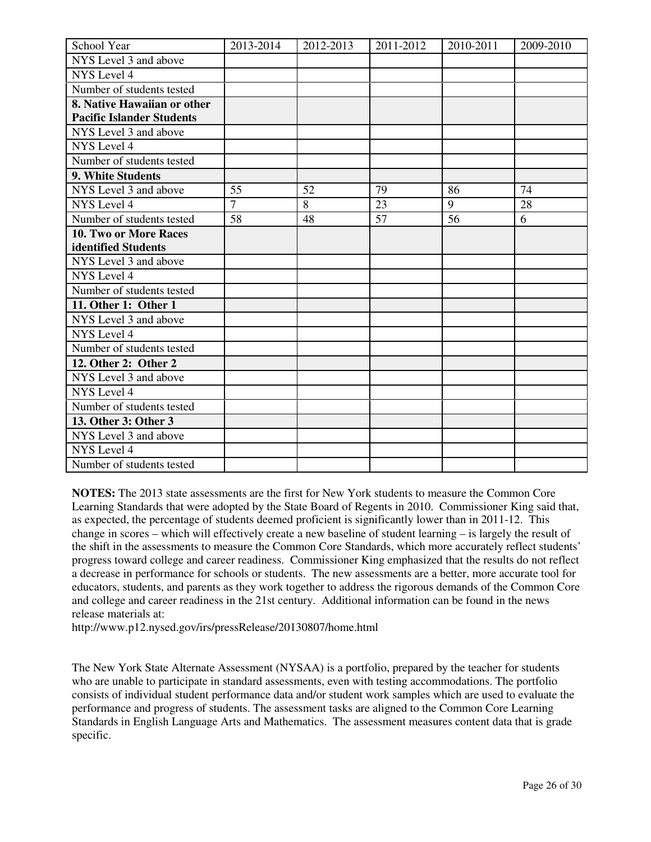| School Year                      | 2013-2014      | 2012-2013 | 2011-2012 | 2010-2011 | 2009-2010 |
|----------------------------------|----------------|-----------|-----------|-----------|-----------|
| NYS Level 3 and above            |                |           |           |           |           |
| NYS Level 4                      |                |           |           |           |           |
| Number of students tested        |                |           |           |           |           |
| 8. Native Hawaiian or other      |                |           |           |           |           |
| <b>Pacific Islander Students</b> |                |           |           |           |           |
| NYS Level 3 and above            |                |           |           |           |           |
| NYS Level 4                      |                |           |           |           |           |
| Number of students tested        |                |           |           |           |           |
| 9. White Students                |                |           |           |           |           |
| NYS Level 3 and above            | 55             | 52        | 79        | 86        | 74        |
| NYS Level 4                      | $\overline{7}$ | 8         | 23        | 9         | 28        |
| Number of students tested        | 58             | 48        | 57        | 56        | 6         |
| <b>10. Two or More Races</b>     |                |           |           |           |           |
| identified Students              |                |           |           |           |           |
| NYS Level 3 and above            |                |           |           |           |           |
| NYS Level 4                      |                |           |           |           |           |
| Number of students tested        |                |           |           |           |           |
| 11. Other 1: Other 1             |                |           |           |           |           |
| NYS Level 3 and above            |                |           |           |           |           |
| NYS Level 4                      |                |           |           |           |           |
| Number of students tested        |                |           |           |           |           |
| 12. Other 2: Other 2             |                |           |           |           |           |
| NYS Level 3 and above            |                |           |           |           |           |
| NYS Level 4                      |                |           |           |           |           |
| Number of students tested        |                |           |           |           |           |
| 13. Other 3: Other 3             |                |           |           |           |           |
| NYS Level 3 and above            |                |           |           |           |           |
| NYS Level 4                      |                |           |           |           |           |
| Number of students tested        |                |           |           |           |           |

**NOTES:** The 2013 state assessments are the first for New York students to measure the Common Core Learning Standards that were adopted by the State Board of Regents in 2010. Commissioner King said that, as expected, the percentage of students deemed proficient is significantly lower than in 2011-12. This change in scores – which will effectively create a new baseline of student learning – is largely the result of the shift in the assessments to measure the Common Core Standards, which more accurately reflect students' progress toward college and career readiness. Commissioner King emphasized that the results do not reflect a decrease in performance for schools or students. The new assessments are a better, more accurate tool for educators, students, and parents as they work together to address the rigorous demands of the Common Core and college and career readiness in the 21st century. Additional information can be found in the news release materials at:

http://www.p12.nysed.gov/irs/pressRelease/20130807/home.html

The New York State Alternate Assessment (NYSAA) is a portfolio, prepared by the teacher for students who are unable to participate in standard assessments, even with testing accommodations. The portfolio consists of individual student performance data and/or student work samples which are used to evaluate the performance and progress of students. The assessment tasks are aligned to the Common Core Learning Standards in English Language Arts and Mathematics. The assessment measures content data that is grade specific.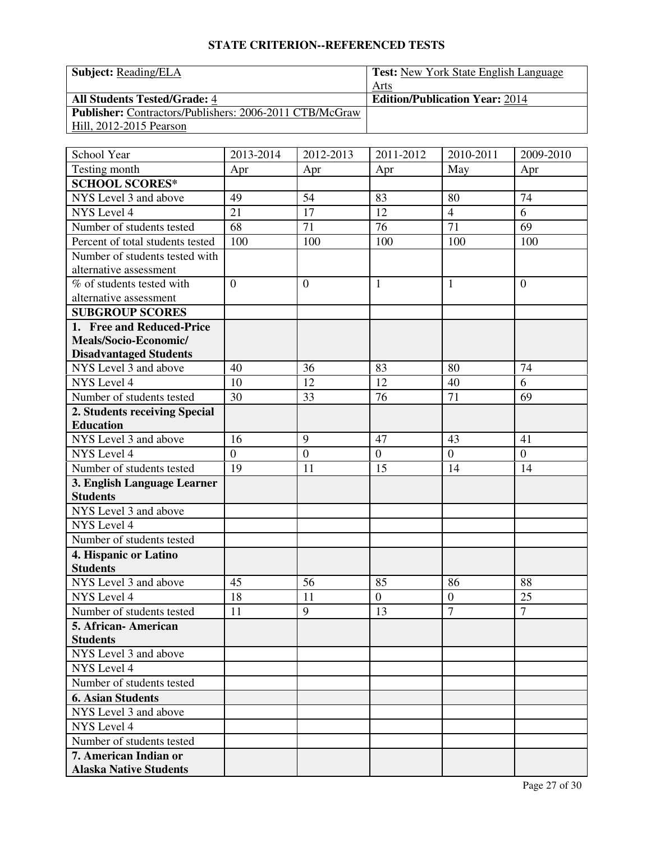| <b>Subject:</b> Reading/ELA |
|-----------------------------|
|                             |

Test: New York State English Language Arts **All Students Tested/Grade:** 4 **Edition/Publication Year:** 2014 **Publisher:** Contractors/Publishers: 2006-2011 CTB/McGraw Hill, 2012-2015 Pearson

| School Year                      | 2013-2014      | 2012-2013      | 2011-2012        | 2010-2011        | 2009-2010      |
|----------------------------------|----------------|----------------|------------------|------------------|----------------|
| Testing month                    | Apr            | Apr            | Apr              | May              | Apr            |
| <b>SCHOOL SCORES*</b>            |                |                |                  |                  |                |
| NYS Level 3 and above            | 49             | 54             | 83               | 80               | 74             |
| NYS Level 4                      | 21             | 17             | 12               | $\overline{4}$   | $\overline{6}$ |
| Number of students tested        | 68             | 71             | 76               | 71               | 69             |
| Percent of total students tested | 100            | 100            | 100              | 100              | 100            |
| Number of students tested with   |                |                |                  |                  |                |
| alternative assessment           |                |                |                  |                  |                |
| % of students tested with        | $\overline{0}$ | $\overline{0}$ | $\mathbf{1}$     | $\mathbf{1}$     | $\overline{0}$ |
| alternative assessment           |                |                |                  |                  |                |
| <b>SUBGROUP SCORES</b>           |                |                |                  |                  |                |
| 1. Free and Reduced-Price        |                |                |                  |                  |                |
| Meals/Socio-Economic/            |                |                |                  |                  |                |
| <b>Disadvantaged Students</b>    |                |                |                  |                  |                |
| NYS Level 3 and above            | 40             | 36             | 83               | 80               | 74             |
| NYS Level 4                      | 10             | 12             | 12               | 40               | 6              |
| Number of students tested        | 30             | 33             | 76               | 71               | 69             |
| 2. Students receiving Special    |                |                |                  |                  |                |
| <b>Education</b>                 |                |                |                  |                  |                |
| NYS Level 3 and above            | 16             | 9              | 47               | 43               | 41             |
| NYS Level 4                      | $\overline{0}$ | $\overline{0}$ | $\overline{0}$   | $\overline{0}$   | $\overline{0}$ |
| Number of students tested        | 19             | 11             | 15               | 14               | 14             |
| 3. English Language Learner      |                |                |                  |                  |                |
| <b>Students</b>                  |                |                |                  |                  |                |
| NYS Level 3 and above            |                |                |                  |                  |                |
| NYS Level 4                      |                |                |                  |                  |                |
| Number of students tested        |                |                |                  |                  |                |
| 4. Hispanic or Latino            |                |                |                  |                  |                |
| <b>Students</b>                  |                |                |                  |                  |                |
| NYS Level 3 and above            | 45             | 56             | 85               | 86               | 88             |
| NYS Level 4                      | 18             | 11             | $\boldsymbol{0}$ | $\boldsymbol{0}$ | 25             |
| Number of students tested        | 11             | 9              | 13               | $\overline{7}$   | $\overline{7}$ |
| 5. African- American             |                |                |                  |                  |                |
| <b>Students</b>                  |                |                |                  |                  |                |
| NYS Level 3 and above            |                |                |                  |                  |                |
| NYS Level 4                      |                |                |                  |                  |                |
| Number of students tested        |                |                |                  |                  |                |
| <b>6. Asian Students</b>         |                |                |                  |                  |                |
| NYS Level 3 and above            |                |                |                  |                  |                |
| NYS Level 4                      |                |                |                  |                  |                |
| Number of students tested        |                |                |                  |                  |                |
| 7. American Indian or            |                |                |                  |                  |                |
| <b>Alaska Native Students</b>    |                |                |                  |                  |                |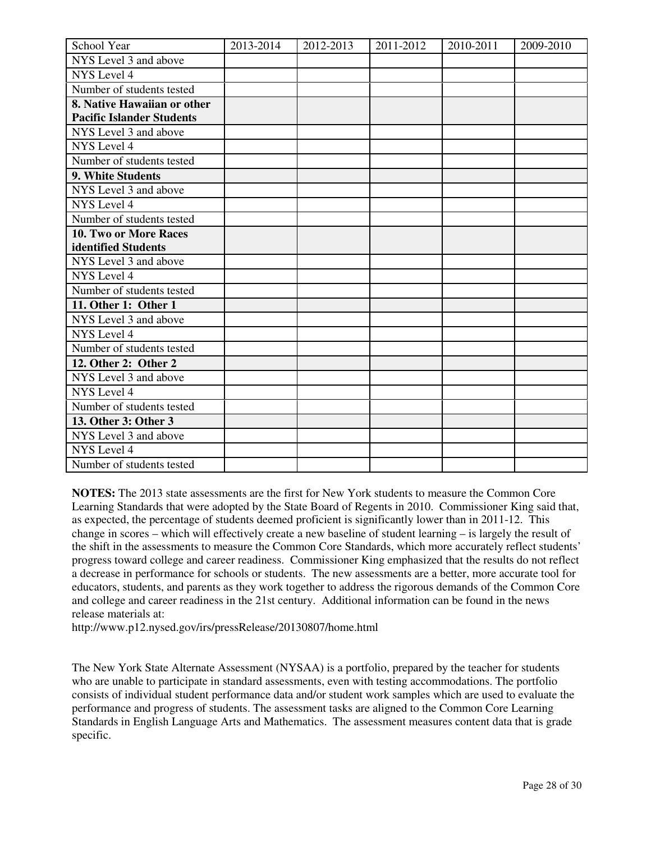| School Year                      | 2013-2014 | 2012-2013 | 2011-2012 | 2010-2011 | 2009-2010 |
|----------------------------------|-----------|-----------|-----------|-----------|-----------|
| NYS Level 3 and above            |           |           |           |           |           |
| NYS Level 4                      |           |           |           |           |           |
| Number of students tested        |           |           |           |           |           |
| 8. Native Hawaiian or other      |           |           |           |           |           |
| <b>Pacific Islander Students</b> |           |           |           |           |           |
| NYS Level 3 and above            |           |           |           |           |           |
| NYS Level 4                      |           |           |           |           |           |
| Number of students tested        |           |           |           |           |           |
| 9. White Students                |           |           |           |           |           |
| NYS Level 3 and above            |           |           |           |           |           |
| NYS Level 4                      |           |           |           |           |           |
| Number of students tested        |           |           |           |           |           |
| 10. Two or More Races            |           |           |           |           |           |
| identified Students              |           |           |           |           |           |
| NYS Level 3 and above            |           |           |           |           |           |
| <b>NYS</b> Level 4               |           |           |           |           |           |
| Number of students tested        |           |           |           |           |           |
| 11. Other 1: Other 1             |           |           |           |           |           |
| NYS Level 3 and above            |           |           |           |           |           |
| NYS Level 4                      |           |           |           |           |           |
| Number of students tested        |           |           |           |           |           |
| 12. Other 2: Other 2             |           |           |           |           |           |
| NYS Level 3 and above            |           |           |           |           |           |
| NYS Level 4                      |           |           |           |           |           |
| Number of students tested        |           |           |           |           |           |
| 13. Other 3: Other 3             |           |           |           |           |           |
| NYS Level 3 and above            |           |           |           |           |           |
| NYS Level 4                      |           |           |           |           |           |
| Number of students tested        |           |           |           |           |           |

**NOTES:** The 2013 state assessments are the first for New York students to measure the Common Core Learning Standards that were adopted by the State Board of Regents in 2010. Commissioner King said that, as expected, the percentage of students deemed proficient is significantly lower than in 2011-12. This change in scores – which will effectively create a new baseline of student learning – is largely the result of the shift in the assessments to measure the Common Core Standards, which more accurately reflect students' progress toward college and career readiness. Commissioner King emphasized that the results do not reflect a decrease in performance for schools or students. The new assessments are a better, more accurate tool for educators, students, and parents as they work together to address the rigorous demands of the Common Core and college and career readiness in the 21st century. Additional information can be found in the news release materials at:

http://www.p12.nysed.gov/irs/pressRelease/20130807/home.html

The New York State Alternate Assessment (NYSAA) is a portfolio, prepared by the teacher for students who are unable to participate in standard assessments, even with testing accommodations. The portfolio consists of individual student performance data and/or student work samples which are used to evaluate the performance and progress of students. The assessment tasks are aligned to the Common Core Learning Standards in English Language Arts and Mathematics. The assessment measures content data that is grade specific.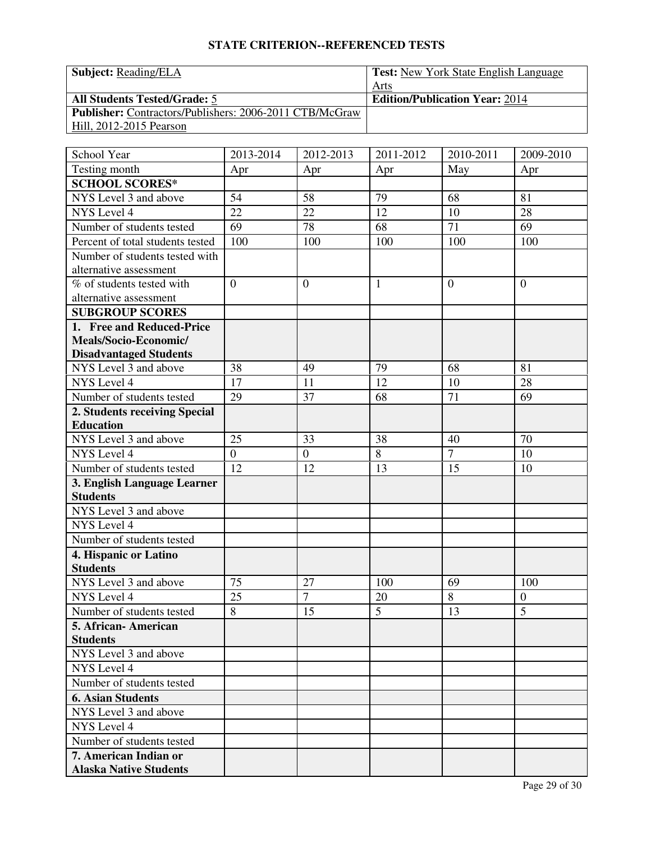| <b>Subject: Reading/ELA</b> |
|-----------------------------|
|                             |

Test: New York State English Language Arts **All Students Tested/Grade: 5 <b>Edition/Publication Year:** 2014 **Publisher:** Contractors/Publishers: 2006-2011 CTB/McGraw Hill, 2012-2015 Pearson

| School Year                          | 2013-2014      | 2012-2013            | 2011-2012      | 2010-2011      | 2009-2010             |
|--------------------------------------|----------------|----------------------|----------------|----------------|-----------------------|
| Testing month                        | Apr            | Apr                  | Apr            | May            | Apr                   |
| <b>SCHOOL SCORES*</b>                |                |                      |                |                |                       |
| NYS Level 3 and above                | 54             | 58                   | 79             | 68             | 81                    |
| NYS Level 4                          | 22             | 22                   | 12             | 10             | 28                    |
| Number of students tested            | 69             | 78                   | 68             | 71             | 69                    |
| Percent of total students tested     | 100            | 100                  | 100            | 100            | 100                   |
| Number of students tested with       |                |                      |                |                |                       |
| alternative assessment               |                |                      |                |                |                       |
| % of students tested with            | $\overline{0}$ | $\theta$             | $\mathbf{1}$   | $\overline{0}$ | $\overline{0}$        |
| alternative assessment               |                |                      |                |                |                       |
| <b>SUBGROUP SCORES</b>               |                |                      |                |                |                       |
| 1. Free and Reduced-Price            |                |                      |                |                |                       |
| Meals/Socio-Economic/                |                |                      |                |                |                       |
| <b>Disadvantaged Students</b>        |                |                      |                |                |                       |
| NYS Level 3 and above                | 38             | 49                   | 79             | 68             | 81                    |
| NYS Level 4                          | 17             | 11                   | 12             | 10             | 28                    |
| Number of students tested            | 29             | 37                   | 68             | 71             | 69                    |
| 2. Students receiving Special        |                |                      |                |                |                       |
| <b>Education</b>                     |                |                      |                |                |                       |
| NYS Level 3 and above                | 25             | 33                   | 38             | 40             | 70                    |
| NYS Level 4                          | $\overline{0}$ | $\overline{0}$       | 8              | $\overline{7}$ | 10                    |
| Number of students tested            | 12             | 12                   | 13             | 15             | 10                    |
| 3. English Language Learner          |                |                      |                |                |                       |
| <b>Students</b>                      |                |                      |                |                |                       |
| NYS Level 3 and above                |                |                      |                |                |                       |
| NYS Level 4                          |                |                      |                |                |                       |
| Number of students tested            |                |                      |                |                |                       |
| 4. Hispanic or Latino                |                |                      |                |                |                       |
| <b>Students</b>                      |                |                      |                |                |                       |
| NYS Level 3 and above<br>NYS Level 4 | 75<br>25       | 27<br>$\overline{7}$ | 100<br>20      | 69<br>8        | 100                   |
| Number of students tested            | 8              | 15                   | $\overline{5}$ | 13             | $\boldsymbol{0}$<br>5 |
| 5. African- American                 |                |                      |                |                |                       |
| <b>Students</b>                      |                |                      |                |                |                       |
| NYS Level 3 and above                |                |                      |                |                |                       |
| NYS Level 4                          |                |                      |                |                |                       |
| Number of students tested            |                |                      |                |                |                       |
| <b>6. Asian Students</b>             |                |                      |                |                |                       |
| NYS Level 3 and above                |                |                      |                |                |                       |
| NYS Level 4                          |                |                      |                |                |                       |
| Number of students tested            |                |                      |                |                |                       |
| 7. American Indian or                |                |                      |                |                |                       |
| <b>Alaska Native Students</b>        |                |                      |                |                |                       |